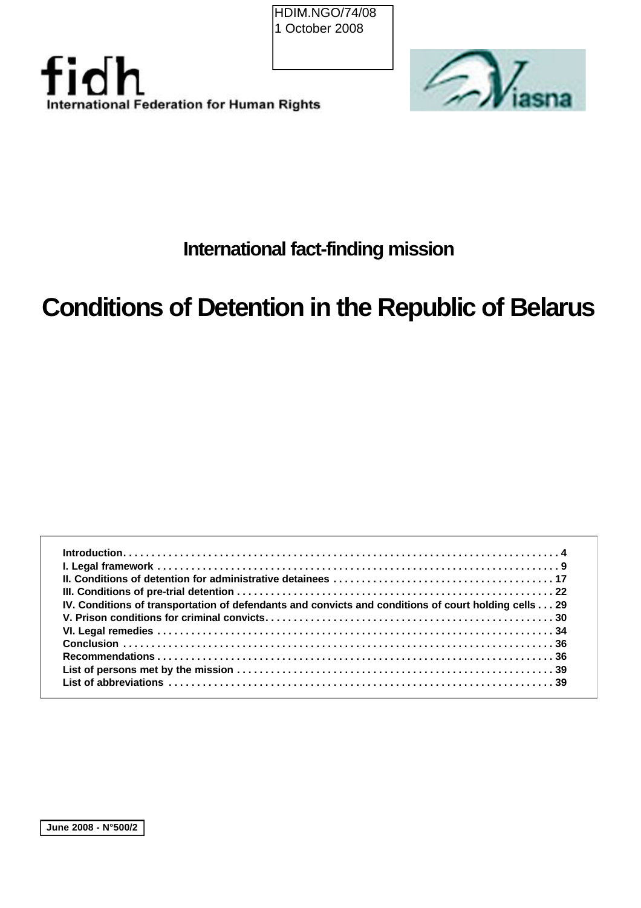HDIM.NGO/74/08 1 October 2008





# **International fact-finding mission**

# **Conditions of Detention in the Republic of Belarus**

| IV. Conditions of transportation of defendants and convicts and conditions of court holding cells 29 |  |
|------------------------------------------------------------------------------------------------------|--|
|                                                                                                      |  |
|                                                                                                      |  |
|                                                                                                      |  |
|                                                                                                      |  |
|                                                                                                      |  |
|                                                                                                      |  |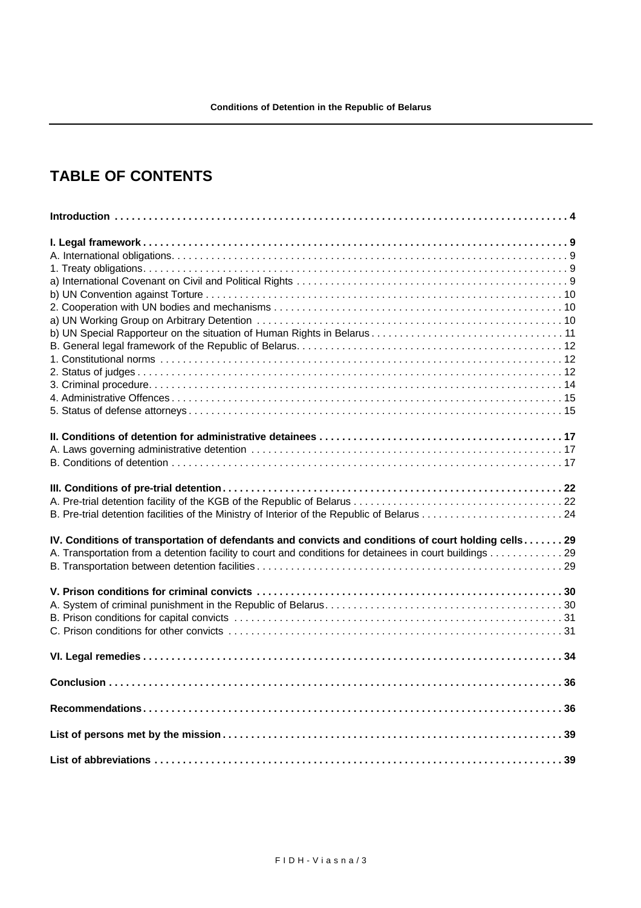# **TABLE OF CONTENTS**

| B. Pre-trial detention facilities of the Ministry of Interior of the Republic of Belarus 24          |  |
|------------------------------------------------------------------------------------------------------|--|
| IV. Conditions of transportation of defendants and convicts and conditions of court holding cells 29 |  |
|                                                                                                      |  |
|                                                                                                      |  |
|                                                                                                      |  |
|                                                                                                      |  |
|                                                                                                      |  |
|                                                                                                      |  |
|                                                                                                      |  |
|                                                                                                      |  |
|                                                                                                      |  |
|                                                                                                      |  |
|                                                                                                      |  |
|                                                                                                      |  |
|                                                                                                      |  |
|                                                                                                      |  |
|                                                                                                      |  |
|                                                                                                      |  |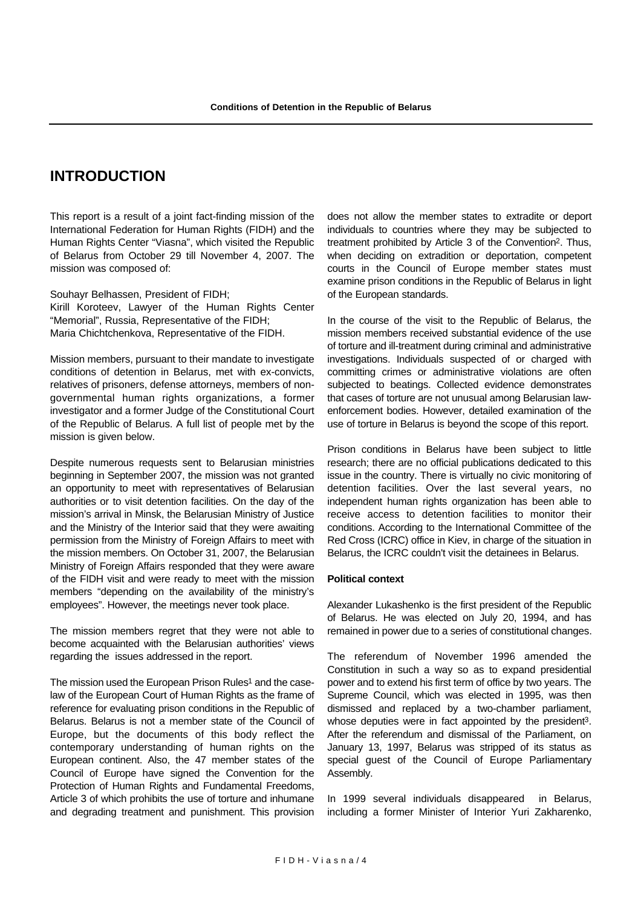# **INTRODUCTION**

This report is a result of a joint fact-finding mission of the International Federation for Human Rights (FIDH) and the Human Rights Center "Viasna", which visited the Republic of Belarus from October 29 till November 4, 2007. The mission was composed of:

Souhayr Belhassen, President of FIDH; Kirill Koroteev, Lawyer of the Human Rights Center "Memorial", Russia, Representative of the FIDH; Maria Chichtchenkova, Representative of the FIDH.

Mission members, pursuant to their mandate to investigate conditions of detention in Belarus, met with ex-convicts, relatives of prisoners, defense attorneys, members of nongovernmental human rights organizations, a former investigator and a former Judge of the Constitutional Court of the Republic of Belarus. A full list of people met by the mission is given below.

Despite numerous requests sent to Belarusian ministries beginning in September 2007, the mission was not granted an opportunity to meet with representatives of Belarusian authorities or to visit detention facilities. On the day of the mission's arrival in Minsk, the Belarusian Ministry of Justice and the Ministry of the Interior said that they were awaiting permission from the Ministry of Foreign Affairs to meet with the mission members. On October 31, 2007, the Belarusian Ministry of Foreign Affairs responded that they were aware of the FIDH visit and were ready to meet with the mission members "depending on the availability of the ministry's employees". However, the meetings never took place.

The mission members regret that they were not able to become acquainted with the Belarusian authorities' views regarding the issues addressed in the report.

The mission used the European Prison Rules<sup>1</sup> and the caselaw of the European Court of Human Rights as the frame of reference for evaluating prison conditions in the Republic of Belarus. Belarus is not a member state of the Council of Europe, but the documents of this body reflect the contemporary understanding of human rights on the European continent. Also, the 47 member states of the Council of Europe have signed the Convention for the Protection of Human Rights and Fundamental Freedoms, Article 3 of which prohibits the use of torture and inhumane and degrading treatment and punishment. This provision does not allow the member states to extradite or deport individuals to countries where they may be subjected to treatment prohibited by Article 3 of the Convention2. Thus, when deciding on extradition or deportation, competent courts in the Council of Europe member states must examine prison conditions in the Republic of Belarus in light of the European standards.

In the course of the visit to the Republic of Belarus, the mission members received substantial evidence of the use of torture and ill-treatment during criminal and administrative investigations. Individuals suspected of or charged with committing crimes or administrative violations are often subjected to beatings. Collected evidence demonstrates that cases of torture are not unusual among Belarusian lawenforcement bodies. However, detailed examination of the use of torture in Belarus is beyond the scope of this report.

Prison conditions in Belarus have been subject to little research; there are no official publications dedicated to this issue in the country. There is virtually no civic monitoring of detention facilities. Over the last several years, no independent human rights organization has been able to receive access to detention facilities to monitor their conditions. According to the International Committee of the Red Cross (ICRC) office in Kiev, in charge of the situation in Belarus, the ICRC couldn't visit the detainees in Belarus.

#### **Political context**

Alexander Lukashenko is the first president of the Republic of Belarus. He was elected on July 20, 1994, and has remained in power due to a series of constitutional changes.

The referendum of November 1996 amended the Constitution in such a way so as to expand presidential power and to extend his first term of office by two years. The Supreme Council, which was elected in 1995, was then dismissed and replaced by a two-chamber parliament, whose deputies were in fact appointed by the president<sup>3</sup>. After the referendum and dismissal of the Parliament, on January 13, 1997, Belarus was stripped of its status as special guest of the Council of Europe Parliamentary Assembly.

In 1999 several individuals disappeared in Belarus, including a former Minister of Interior Yuri Zakharenko,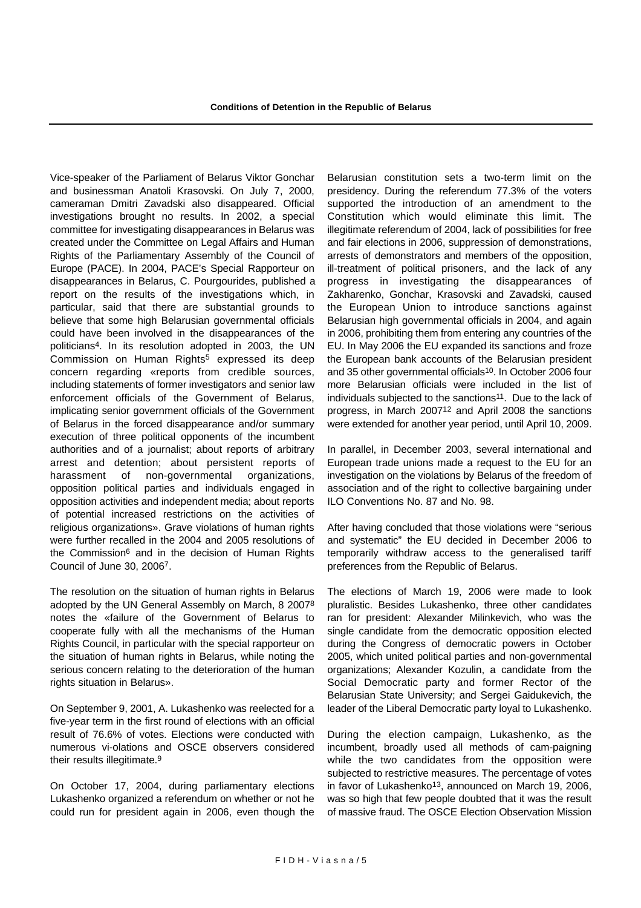Vice-speaker of the Parliament of Belarus Viktor Gonchar and businessman Anatoli Krasovski. On July 7, 2000, cameraman Dmitri Zavadski also disappeared. Official investigations brought no results. In 2002, a special committee for investigating disappearances in Belarus was created under the Committee on Legal Affairs and Human Rights of the Parliamentary Assembly of the Council of Europe (PACE). In 2004, PACE's Special Rapporteur on disappearances in Belarus, C. Pourgourides, published a report on the results of the investigations which, in particular, said that there are substantial grounds to believe that some high Belarusian governmental officials could have been involved in the disappearances of the politicians4. In its resolution adopted in 2003, the UN Commission on Human Rights<sup>5</sup> expressed its deep concern regarding «reports from credible sources, including statements of former investigators and senior law enforcement officials of the Government of Belarus, implicating senior government officials of the Government of Belarus in the forced disappearance and/or summary execution of three political opponents of the incumbent authorities and of a journalist; about reports of arbitrary arrest and detention; about persistent reports of harassment of non-governmental organizations, opposition political parties and individuals engaged in opposition activities and independent media; about reports of potential increased restrictions on the activities of religious organizations». Grave violations of human rights were further recalled in the 2004 and 2005 resolutions of the Commission6 and in the decision of Human Rights Council of June 30, 20067.

The resolution on the situation of human rights in Belarus adopted by the UN General Assembly on March, 8 20078 notes the «failure of the Government of Belarus to cooperate fully with all the mechanisms of the Human Rights Council, in particular with the special rapporteur on the situation of human rights in Belarus, while noting the serious concern relating to the deterioration of the human rights situation in Belarus».

On September 9, 2001, A. Lukashenko was reelected for a five-year term in the first round of elections with an official result of 76.6% of votes. Elections were conducted with numerous vi-olations and OSCE observers considered their results illegitimate.9

On October 17, 2004, during parliamentary elections Lukashenko organized a referendum on whether or not he could run for president again in 2006, even though the Belarusian constitution sets a two-term limit on the presidency. During the referendum 77.3% of the voters supported the introduction of an amendment to the Constitution which would eliminate this limit. The illegitimate referendum of 2004, lack of possibilities for free and fair elections in 2006, suppression of demonstrations, arrests of demonstrators and members of the opposition, ill-treatment of political prisoners, and the lack of any progress in investigating the disappearances of Zakharenko, Gonchar, Krasovski and Zavadski, caused the European Union to introduce sanctions against Belarusian high governmental officials in 2004, and again in 2006, prohibiting them from entering any countries of the EU. In May 2006 the EU expanded its sanctions and froze the European bank accounts of the Belarusian president and 35 other governmental officials<sup>10</sup>. In October 2006 four more Belarusian officials were included in the list of individuals subjected to the sanctions<sup>11</sup>. Due to the lack of progress, in March 200712 and April 2008 the sanctions were extended for another year period, until April 10, 2009.

In parallel, in December 2003, several international and European trade unions made a request to the EU for an investigation on the violations by Belarus of the freedom of association and of the right to collective bargaining under ILO Conventions No. 87 and No. 98.

After having concluded that those violations were "serious and systematic" the EU decided in December 2006 to temporarily withdraw access to the generalised tariff preferences from the Republic of Belarus.

The elections of March 19, 2006 were made to look pluralistic. Besides Lukashenko, three other candidates ran for president: Alexander Milinkevich, who was the single candidate from the democratic opposition elected during the Congress of democratic powers in October 2005, which united political parties and non-governmental organizations; Alexander Kozulin, a candidate from the Social Democratic party and former Rector of the Belarusian State University; and Sergei Gaidukevich, the leader of the Liberal Democratic party loyal to Lukashenko.

During the election campaign, Lukashenko, as the incumbent, broadly used all methods of cam-paigning while the two candidates from the opposition were subjected to restrictive measures. The percentage of votes in favor of Lukashenko<sup>13</sup>, announced on March 19, 2006, was so high that few people doubted that it was the result of massive fraud. The OSCE Election Observation Mission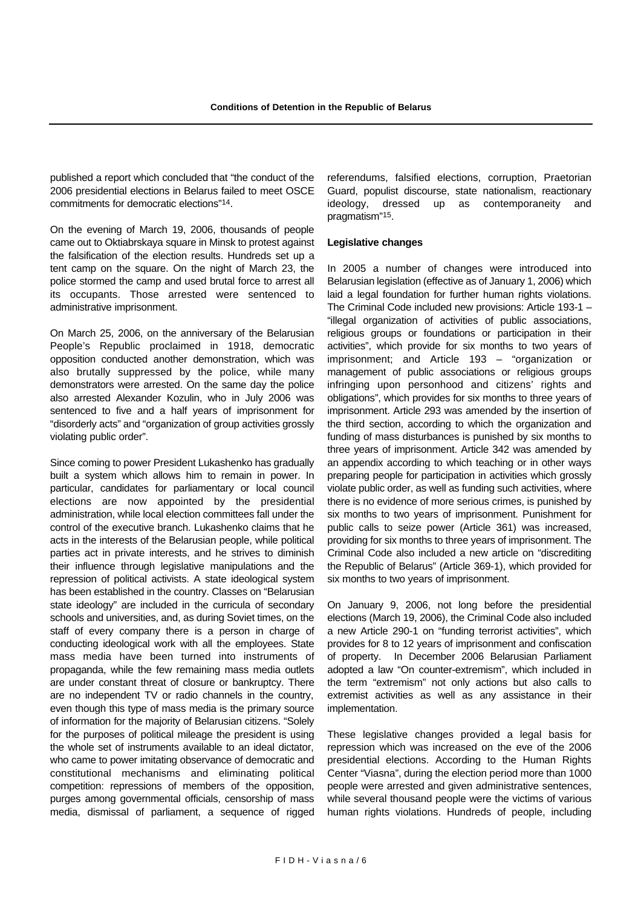published a report which concluded that "the conduct of the 2006 presidential elections in Belarus failed to meet OSCE commitments for democratic elections"14.

On the evening of March 19, 2006, thousands of people came out to Oktiabrskaya square in Minsk to protest against the falsification of the election results. Hundreds set up a tent camp on the square. On the night of March 23, the police stormed the camp and used brutal force to arrest all its occupants. Those arrested were sentenced to administrative imprisonment.

On March 25, 2006, on the anniversary of the Belarusian People's Republic proclaimed in 1918, democratic opposition conducted another demonstration, which was also brutally suppressed by the police, while many demonstrators were arrested. On the same day the police also arrested Alexander Kozulin, who in July 2006 was sentenced to five and a half years of imprisonment for "disorderly acts" and "organization of group activities grossly violating public order".

Since coming to power President Lukashenko has gradually built a system which allows him to remain in power. In particular, candidates for parliamentary or local council elections are now appointed by the presidential administration, while local election committees fall under the control of the executive branch. Lukashenko claims that he acts in the interests of the Belarusian people, while political parties act in private interests, and he strives to diminish their influence through legislative manipulations and the repression of political activists. A state ideological system has been established in the country. Classes on "Belarusian state ideology" are included in the curricula of secondary schools and universities, and, as during Soviet times, on the staff of every company there is a person in charge of conducting ideological work with all the employees. State mass media have been turned into instruments of propaganda, while the few remaining mass media outlets are under constant threat of closure or bankruptcy. There are no independent TV or radio channels in the country, even though this type of mass media is the primary source of information for the majority of Belarusian citizens. "Solely for the purposes of political mileage the president is using the whole set of instruments available to an ideal dictator, who came to power imitating observance of democratic and constitutional mechanisms and eliminating political competition: repressions of members of the opposition, purges among governmental officials, censorship of mass media, dismissal of parliament, a sequence of rigged referendums, falsified elections, corruption, Praetorian Guard, populist discourse, state nationalism, reactionary ideology, dressed up as contemporaneity and pragmatism"15.

#### **Legislative changes**

In 2005 a number of changes were introduced into Belarusian legislation (effective as of January 1, 2006) which laid a legal foundation for further human rights violations. The Criminal Code included new provisions: Article 193-1 – "illegal organization of activities of public associations, religious groups or foundations or participation in their activities", which provide for six months to two years of imprisonment; and Article 193 – "organization or management of public associations or religious groups infringing upon personhood and citizens' rights and obligations", which provides for six months to three years of imprisonment. Article 293 was amended by the insertion of the third section, according to which the organization and funding of mass disturbances is punished by six months to three years of imprisonment. Article 342 was amended by an appendix according to which teaching or in other ways preparing people for participation in activities which grossly violate public order, as well as funding such activities, where there is no evidence of more serious crimes, is punished by six months to two years of imprisonment. Punishment for public calls to seize power (Article 361) was increased, providing for six months to three years of imprisonment. The Criminal Code also included a new article on "discrediting the Republic of Belarus" (Article 369-1), which provided for six months to two years of imprisonment.

On January 9, 2006, not long before the presidential elections (March 19, 2006), the Criminal Code also included a new Article 290-1 on "funding terrorist activities", which provides for 8 to 12 years of imprisonment and confiscation of property. In December 2006 Belarusian Parliament adopted a law "On counter-extremism", which included in the term "extremism" not only actions but also calls to extremist activities as well as any assistance in their implementation.

These legislative changes provided a legal basis for repression which was increased on the eve of the 2006 presidential elections. According to the Human Rights Center "Viasna", during the election period more than 1000 people were arrested and given administrative sentences, while several thousand people were the victims of various human rights violations. Hundreds of people, including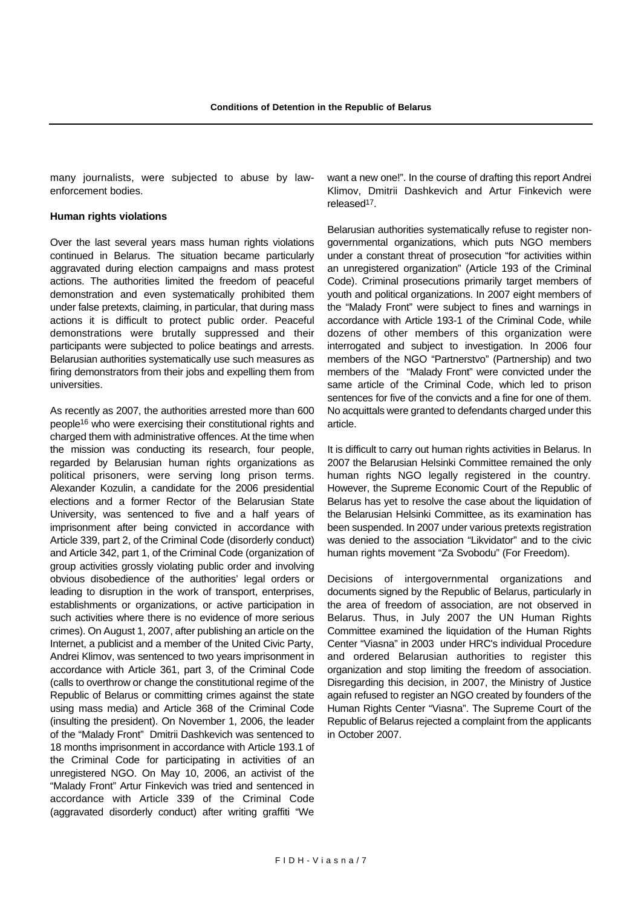many journalists, were subjected to abuse by lawenforcement bodies.

#### **Human rights violations**

Over the last several years mass human rights violations continued in Belarus. The situation became particularly aggravated during election campaigns and mass protest actions. The authorities limited the freedom of peaceful demonstration and even systematically prohibited them under false pretexts, claiming, in particular, that during mass actions it is difficult to protect public order. Peaceful demonstrations were brutally suppressed and their participants were subjected to police beatings and arrests. Belarusian authorities systematically use such measures as firing demonstrators from their jobs and expelling them from universities.

As recently as 2007, the authorities arrested more than 600 people16 who were exercising their constitutional rights and charged them with administrative offences. At the time when the mission was conducting its research, four people, regarded by Belarusian human rights organizations as political prisoners, were serving long prison terms. Alexander Kozulin, a candidate for the 2006 presidential elections and a former Rector of the Belarusian State University, was sentenced to five and a half years of imprisonment after being convicted in accordance with Article 339, part 2, of the Criminal Code (disorderly conduct) and Article 342, part 1, of the Criminal Code (organization of group activities grossly violating public order and involving obvious disobedience of the authorities' legal orders or leading to disruption in the work of transport, enterprises, establishments or organizations, or active participation in such activities where there is no evidence of more serious crimes). On August 1, 2007, after publishing an article on the Internet, a publicist and a member of the United Civic Party, Andrei Klimov, was sentenced to two years imprisonment in accordance with Article 361, part 3, of the Criminal Code (calls to overthrow or change the constitutional regime of the Republic of Belarus or committing crimes against the state using mass media) and Article 368 of the Criminal Code (insulting the president). On November 1, 2006, the leader of the "Malady Front" Dmitrii Dashkevich was sentenced to 18 months imprisonment in accordance with Article 193.1 of the Criminal Code for participating in activities of an unregistered NGO. On May 10, 2006, an activist of the "Malady Front" Artur Finkevich was tried and sentenced in accordance with Article 339 of the Criminal Code (aggravated disorderly conduct) after writing graffiti "We want a new one!". In the course of drafting this report Andrei Klimov, Dmitrii Dashkevich and Artur Finkevich were released17.

Belarusian authorities systematically refuse to register nongovernmental organizations, which puts NGO members under a constant threat of prosecution "for activities within an unregistered organization" (Article 193 of the Criminal Code). Criminal prosecutions primarily target members of youth and political organizations. In 2007 eight members of the "Malady Front" were subject to fines and warnings in accordance with Article 193-1 of the Criminal Code, while dozens of other members of this organization were interrogated and subject to investigation. In 2006 four members of the NGO "Partnerstvo" (Partnership) and two members of the "Malady Front" were convicted under the same article of the Criminal Code, which led to prison sentences for five of the convicts and a fine for one of them. No acquittals were granted to defendants charged under this article.

It is difficult to carry out human rights activities in Belarus. In 2007 the Belarusian Helsinki Committee remained the only human rights NGO legally registered in the country. However, the Supreme Economic Court of the Republic of Belarus has yet to resolve the case about the liquidation of the Belarusian Helsinki Committee, as its examination has been suspended. In 2007 under various pretexts registration was denied to the association "Likvidator" and to the civic human rights movement "Za Svobodu" (For Freedom).

Decisions of intergovernmental organizations and documents signed by the Republic of Belarus, particularly in the area of freedom of association, are not observed in Belarus. Thus, in July 2007 the UN Human Rights Committee examined the liquidation of the Human Rights Center "Viasna" in 2003 under HRC's individual Procedure and ordered Belarusian authorities to register this organization and stop limiting the freedom of association. Disregarding this decision, in 2007, the Ministry of Justice again refused to register an NGO created by founders of the Human Rights Center "Viasna". The Supreme Court of the Republic of Belarus rejected a complaint from the applicants in October 2007.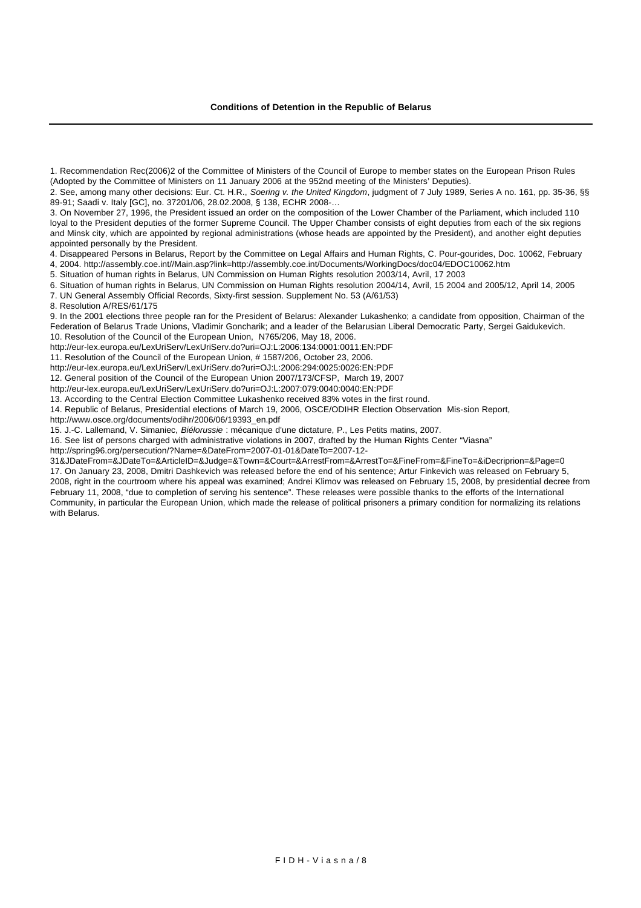4. Disappeared Persons in Belarus, Report by the Committee on Legal Affairs and Human Rights, C. Pour-gourides, Doc. 10062, February

4, 2004. http://assembly.coe.int//Main.asp?link=http://assembly.coe.int/Documents/WorkingDocs/doc04/EDOC10062.htm

5. Situation of human rights in Belarus, UN Commission on Human Rights resolution 2003/14, Avril, 17 2003

6. Situation of human rights in Belarus, UN Commission on Human Rights resolution 2004/14, Avril, 15 2004 and 2005/12, April 14, 2005

7. UN General Assembly Official Records, Sixty-first session. Supplement No. 53 (A/61/53)

8. Resolution A/RES/61/175

9. In the 2001 elections three people ran for the President of Belarus: Alexander Lukashenko; a candidate from opposition, Chairman of the Federation of Belarus Trade Unions, Vladimir Goncharik; and a leader of the Belarusian Liberal Democratic Party, Sergei Gaidukevich. 10. Resolution of the Council of the European Union, N765/206, May 18, 2006.

http://eur-lex.europa.eu/LexUriServ/LexUriServ.do?uri=OJ:L:2006:134:0001:0011:EN:PDF

11. Resolution of the Council of the European Union, # 1587/206, October 23, 2006.

http://eur-lex.europa.eu/LexUriServ/LexUriServ.do?uri=OJ:L:2006:294:0025:0026:EN:PDF

12. General position of the Council of the European Union 2007/173/CFSP, March 19, 2007

http://eur-lex.europa.eu/LexUriServ/LexUriServ.do?uri=OJ:L:2007:079:0040:0040:EN:PDF

13. According to the Central Election Committee Lukashenko received 83% votes in the first round.

14. Republic of Belarus, Presidential elections of March 19, 2006, OSCE/ODIHR Election Observation Mis-sion Report,

http://www.osce.org/documents/odihr/2006/06/19393\_en.pdf

15. J.-C. Lallemand, V. Simaniec, *Biélorussie* : mécanique d'une dictature, P., Les Petits matins, 2007.

16. See list of persons charged with administrative violations in 2007, drafted by the Human Rights Center "Viasna"

http://spring96.org/persecution/?Name=&DateFrom=2007-01-01&DateTo=2007-12-

31&JDateFrom=&JDateTo=&ArticleID=&Judge=&Town=&Court=&ArrestFrom=&ArrestTo=&FineFrom=&FineTo=&iDecriprion=&Page=0 17. On January 23, 2008, Dmitri Dashkevich was released before the end of his sentence; Artur Finkevich was released on February 5, 2008, right in the courtroom where his appeal was examined; Andrei Klimov was released on February 15, 2008, by presidential decree from February 11, 2008, "due to completion of serving his sentence". These releases were possible thanks to the efforts of the International Community, in particular the European Union, which made the release of political prisoners a primary condition for normalizing its relations with Belarus.

<sup>1.</sup> Recommendation Rec(2006)2 of the Committee of Ministers of the Council of Europe to member states on the European Prison Rules (Adopted by the Committee of Ministers on 11 January 2006 at the 952nd meeting of the Ministers' Deputies).

<sup>2.</sup> See, among many other decisions: Eur. Ct. H.R., *Soering v. the United Kingdom*, judgment of 7 July 1989, Series A no. 161, pp. 35-36, §§ 89-91; Saadi v. Italy [GC], no. 37201/06, 28.02.2008, § 138, ECHR 2008-…

<sup>3.</sup> On November 27, 1996, the President issued an order on the composition of the Lower Chamber of the Parliament, which included 110 loyal to the President deputies of the former Supreme Council. The Upper Chamber consists of eight deputies from each of the six regions and Minsk city, which are appointed by regional administrations (whose heads are appointed by the President), and another eight deputies appointed personally by the President.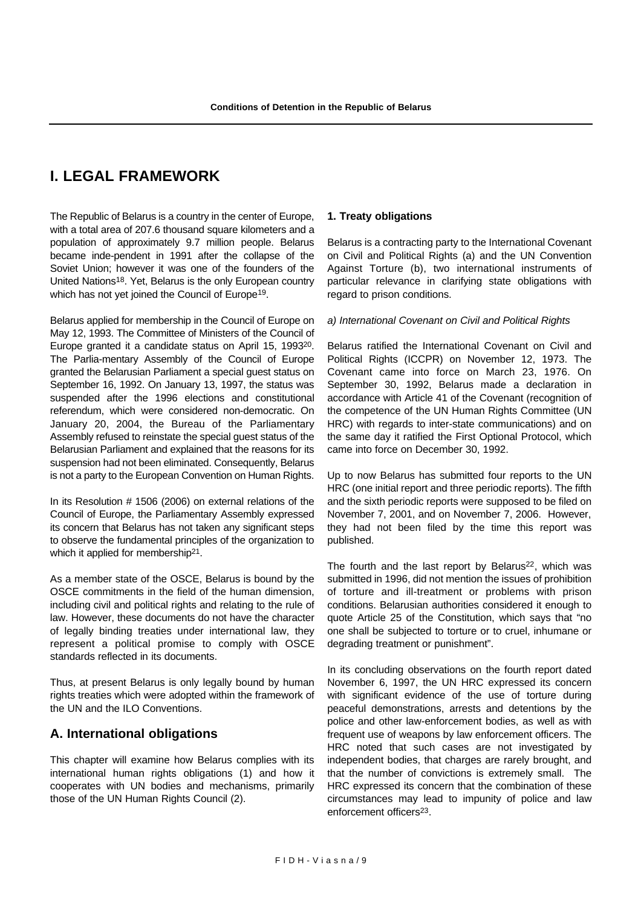# **I. LEGAL FRAMEWORK**

The Republic of Belarus is a country in the center of Europe, with a total area of 207.6 thousand square kilometers and a population of approximately 9.7 million people. Belarus became inde-pendent in 1991 after the collapse of the Soviet Union; however it was one of the founders of the United Nations18. Yet, Belarus is the only European country which has not yet joined the Council of Europe<sup>19</sup>.

Belarus applied for membership in the Council of Europe on May 12, 1993. The Committee of Ministers of the Council of Europe granted it a candidate status on April 15, 199320. The Parlia-mentary Assembly of the Council of Europe granted the Belarusian Parliament a special guest status on September 16, 1992. On January 13, 1997, the status was suspended after the 1996 elections and constitutional referendum, which were considered non-democratic. On January 20, 2004, the Bureau of the Parliamentary Assembly refused to reinstate the special guest status of the Belarusian Parliament and explained that the reasons for its suspension had not been eliminated. Consequently, Belarus is not a party to the European Convention on Human Rights.

In its Resolution # 1506 (2006) on external relations of the Council of Europe, the Parliamentary Assembly expressed its concern that Belarus has not taken any significant steps to observe the fundamental principles of the organization to which it applied for membership<sup>21</sup>.

As a member state of the OSCE, Belarus is bound by the OSCE commitments in the field of the human dimension, including civil and political rights and relating to the rule of law. However, these documents do not have the character of legally binding treaties under international law, they represent a political promise to comply with OSCE standards reflected in its documents.

Thus, at present Belarus is only legally bound by human rights treaties which were adopted within the framework of the UN and the ILO Conventions.

# **A. International obligations**

This chapter will examine how Belarus complies with its international human rights obligations (1) and how it cooperates with UN bodies and mechanisms, primarily those of the UN Human Rights Council (2).

### **1. Treaty obligations**

Belarus is a contracting party to the International Covenant on Civil and Political Rights (a) and the UN Convention Against Torture (b), two international instruments of particular relevance in clarifying state obligations with regard to prison conditions.

#### *a) International Covenant on Civil and Political Rights*

Belarus ratified the International Covenant on Civil and Political Rights (ICCPR) on November 12, 1973. The Covenant came into force on March 23, 1976. On September 30, 1992, Belarus made a declaration in accordance with Article 41 of the Covenant (recognition of the competence of the UN Human Rights Committee (UN HRC) with regards to inter-state communications) and on the same day it ratified the First Optional Protocol, which came into force on December 30, 1992.

Up to now Belarus has submitted four reports to the UN HRC (one initial report and three periodic reports). The fifth and the sixth periodic reports were supposed to be filed on November 7, 2001, and on November 7, 2006. However, they had not been filed by the time this report was published.

The fourth and the last report by Belarus<sup>22</sup>, which was submitted in 1996, did not mention the issues of prohibition of torture and ill-treatment or problems with prison conditions. Belarusian authorities considered it enough to quote Article 25 of the Constitution, which says that "no one shall be subjected to torture or to cruel, inhumane or degrading treatment or punishment".

In its concluding observations on the fourth report dated November 6, 1997, the UN HRC expressed its concern with significant evidence of the use of torture during peaceful demonstrations, arrests and detentions by the police and other law-enforcement bodies, as well as with frequent use of weapons by law enforcement officers. The HRC noted that such cases are not investigated by independent bodies, that charges are rarely brought, and that the number of convictions is extremely small. The HRC expressed its concern that the combination of these circumstances may lead to impunity of police and law enforcement officers23.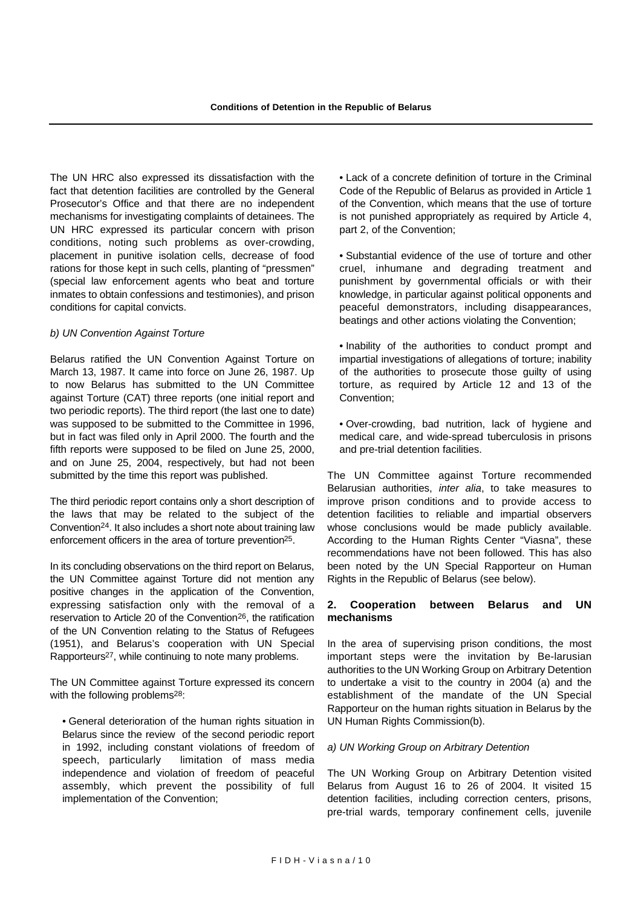The UN HRC also expressed its dissatisfaction with the fact that detention facilities are controlled by the General Prosecutor's Office and that there are no independent mechanisms for investigating complaints of detainees. The UN HRC expressed its particular concern with prison conditions, noting such problems as over-crowding, placement in punitive isolation cells, decrease of food rations for those kept in such cells, planting of "pressmen" (special law enforcement agents who beat and torture inmates to obtain confessions and testimonies), and prison conditions for capital convicts.

#### *b) UN Convention Against Torture*

Belarus ratified the UN Convention Against Torture on March 13, 1987. It came into force on June 26, 1987. Up to now Belarus has submitted to the UN Committee against Torture (CAT) three reports (one initial report and two periodic reports). The third report (the last one to date) was supposed to be submitted to the Committee in 1996, but in fact was filed only in April 2000. The fourth and the fifth reports were supposed to be filed on June 25, 2000, and on June 25, 2004, respectively, but had not been submitted by the time this report was published.

The third periodic report contains only a short description of the laws that may be related to the subject of the Convention24. It also includes a short note about training law enforcement officers in the area of torture prevention25.

In its concluding observations on the third report on Belarus, the UN Committee against Torture did not mention any positive changes in the application of the Convention, expressing satisfaction only with the removal of a reservation to Article 20 of the Convention26, the ratification of the UN Convention relating to the Status of Refugees (1951), and Belarus's cooperation with UN Special Rapporteurs27, while continuing to note many problems.

The UN Committee against Torture expressed its concern with the following problems<sup>28</sup>:

• General deterioration of the human rights situation in Belarus since the review of the second periodic report in 1992, including constant violations of freedom of speech, particularly limitation of mass media independence and violation of freedom of peaceful assembly, which prevent the possibility of full implementation of the Convention;

• Lack of a concrete definition of torture in the Criminal Code of the Republic of Belarus as provided in Article 1 of the Convention, which means that the use of torture is not punished appropriately as required by Article 4, part 2, of the Convention;

• Substantial evidence of the use of torture and other cruel, inhumane and degrading treatment and punishment by governmental officials or with their knowledge, in particular against political opponents and peaceful demonstrators, including disappearances, beatings and other actions violating the Convention;

• Inability of the authorities to conduct prompt and impartial investigations of allegations of torture; inability of the authorities to prosecute those guilty of using torture, as required by Article 12 and 13 of the Convention;

• Over-crowding, bad nutrition, lack of hygiene and medical care, and wide-spread tuberculosis in prisons and pre-trial detention facilities.

The UN Committee against Torture recommended Belarusian authorities, *inter alia*, to take measures to improve prison conditions and to provide access to detention facilities to reliable and impartial observers whose conclusions would be made publicly available. According to the Human Rights Center "Viasna", these recommendations have not been followed. This has also been noted by the UN Special Rapporteur on Human Rights in the Republic of Belarus (see below).

### **2. Cooperation between Belarus and UN mechanisms**

In the area of supervising prison conditions, the most important steps were the invitation by Be-larusian authorities to the UN Working Group on Arbitrary Detention to undertake a visit to the country in 2004 (a) and the establishment of the mandate of the UN Special Rapporteur on the human rights situation in Belarus by the UN Human Rights Commission(b).

#### *a) UN Working Group on Arbitrary Detention*

The UN Working Group on Arbitrary Detention visited Belarus from August 16 to 26 of 2004. It visited 15 detention facilities, including correction centers, prisons, pre-trial wards, temporary confinement cells, juvenile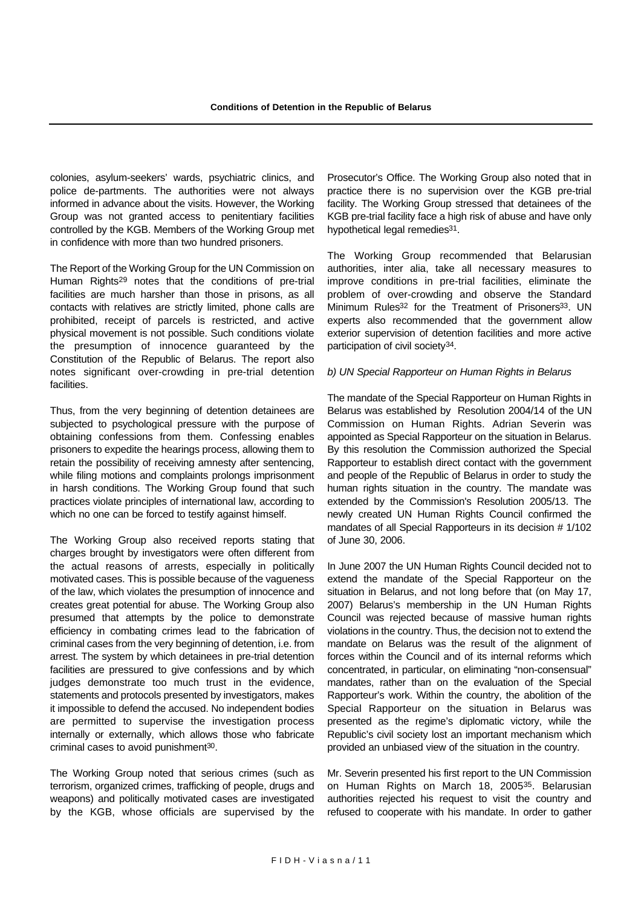colonies, asylum-seekers' wards, psychiatric clinics, and police de-partments. The authorities were not always informed in advance about the visits. However, the Working Group was not granted access to penitentiary facilities controlled by the KGB. Members of the Working Group met in confidence with more than two hundred prisoners.

The Report of the Working Group for the UN Commission on Human Rights29 notes that the conditions of pre-trial facilities are much harsher than those in prisons, as all contacts with relatives are strictly limited, phone calls are prohibited, receipt of parcels is restricted, and active physical movement is not possible. Such conditions violate the presumption of innocence guaranteed by the Constitution of the Republic of Belarus. The report also notes significant over-crowding in pre-trial detention facilities.

Thus, from the very beginning of detention detainees are subjected to psychological pressure with the purpose of obtaining confessions from them. Confessing enables prisoners to expedite the hearings process, allowing them to retain the possibility of receiving amnesty after sentencing, while filing motions and complaints prolongs imprisonment in harsh conditions. The Working Group found that such practices violate principles of international law, according to which no one can be forced to testify against himself.

The Working Group also received reports stating that charges brought by investigators were often different from the actual reasons of arrests, especially in politically motivated cases. This is possible because of the vagueness of the law, which violates the presumption of innocence and creates great potential for abuse. The Working Group also presumed that attempts by the police to demonstrate efficiency in combating crimes lead to the fabrication of criminal cases from the very beginning of detention, i.e. from arrest. The system by which detainees in pre-trial detention facilities are pressured to give confessions and by which judges demonstrate too much trust in the evidence, statements and protocols presented by investigators, makes it impossible to defend the accused. No independent bodies are permitted to supervise the investigation process internally or externally, which allows those who fabricate criminal cases to avoid punishment<sup>30</sup>.

The Working Group noted that serious crimes (such as terrorism, organized crimes, trafficking of people, drugs and weapons) and politically motivated cases are investigated by the KGB, whose officials are supervised by the Prosecutor's Office. The Working Group also noted that in practice there is no supervision over the KGB pre-trial facility. The Working Group stressed that detainees of the KGB pre-trial facility face a high risk of abuse and have only hypothetical legal remedies<sup>31</sup>.

The Working Group recommended that Belarusian authorities, inter alia, take all necessary measures to improve conditions in pre-trial facilities, eliminate the problem of over-crowding and observe the Standard Minimum Rules<sup>32</sup> for the Treatment of Prisoners<sup>33</sup>. UN experts also recommended that the government allow exterior supervision of detention facilities and more active participation of civil society34.

#### *b) UN Special Rapporteur on Human Rights in Belarus*

The mandate of the Special Rapporteur on Human Rights in Belarus was established by Resolution 2004/14 of the UN Commission on Human Rights. Adrian Severin was appointed as Special Rapporteur on the situation in Belarus. By this resolution the Commission authorized the Special Rapporteur to establish direct contact with the government and people of the Republic of Belarus in order to study the human rights situation in the country. The mandate was extended by the Commission's Resolution 2005/13. The newly created UN Human Rights Council confirmed the mandates of all Special Rapporteurs in its decision # 1/102 of June 30, 2006.

In June 2007 the UN Human Rights Council decided not to extend the mandate of the Special Rapporteur on the situation in Belarus, and not long before that (on May 17, 2007) Belarus's membership in the UN Human Rights Council was rejected because of massive human rights violations in the country. Thus, the decision not to extend the mandate on Belarus was the result of the alignment of forces within the Council and of its internal reforms which concentrated, in particular, on eliminating "non-consensual" mandates, rather than on the evaluation of the Special Rapporteur's work. Within the country, the abolition of the Special Rapporteur on the situation in Belarus was presented as the regime's diplomatic victory, while the Republic's civil society lost an important mechanism which provided an unbiased view of the situation in the country.

Mr. Severin presented his first report to the UN Commission on Human Rights on March 18, 200535. Belarusian authorities rejected his request to visit the country and refused to cooperate with his mandate. In order to gather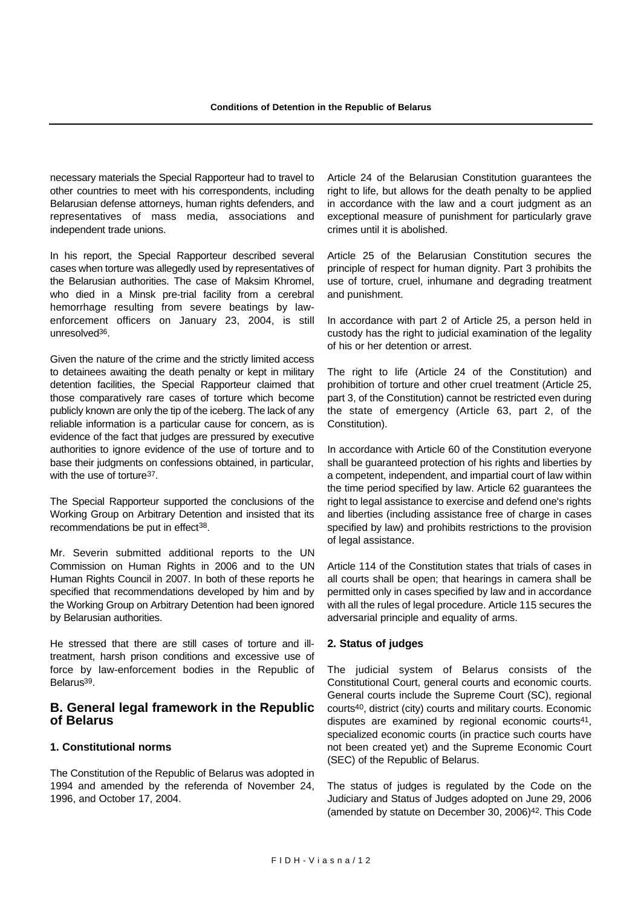necessary materials the Special Rapporteur had to travel to other countries to meet with his correspondents, including Belarusian defense attorneys, human rights defenders, and representatives of mass media, associations and independent trade unions.

In his report, the Special Rapporteur described several cases when torture was allegedly used by representatives of the Belarusian authorities. The case of Maksim Khromel, who died in a Minsk pre-trial facility from a cerebral hemorrhage resulting from severe beatings by lawenforcement officers on January 23, 2004, is still unresolved36.

Given the nature of the crime and the strictly limited access to detainees awaiting the death penalty or kept in military detention facilities, the Special Rapporteur claimed that those comparatively rare cases of torture which become publicly known are only the tip of the iceberg. The lack of any reliable information is a particular cause for concern, as is evidence of the fact that judges are pressured by executive authorities to ignore evidence of the use of torture and to base their judgments on confessions obtained, in particular, with the use of torture<sup>37</sup>.

The Special Rapporteur supported the conclusions of the Working Group on Arbitrary Detention and insisted that its recommendations be put in effect<sup>38</sup>.

Mr. Severin submitted additional reports to the UN Commission on Human Rights in 2006 and to the UN Human Rights Council in 2007. In both of these reports he specified that recommendations developed by him and by the Working Group on Arbitrary Detention had been ignored by Belarusian authorities.

He stressed that there are still cases of torture and illtreatment, harsh prison conditions and excessive use of force by law-enforcement bodies in the Republic of Belarus39.

### **B. General legal framework in the Republic of Belarus**

#### **1. Constitutional norms**

The Constitution of the Republic of Belarus was adopted in 1994 and amended by the referenda of November 24, 1996, and October 17, 2004.

Article 24 of the Belarusian Constitution guarantees the right to life, but allows for the death penalty to be applied in accordance with the law and a court judgment as an exceptional measure of punishment for particularly grave crimes until it is abolished.

Article 25 of the Belarusian Constitution secures the principle of respect for human dignity. Part 3 prohibits the use of torture, cruel, inhumane and degrading treatment and punishment.

In accordance with part 2 of Article 25, a person held in custody has the right to judicial examination of the legality of his or her detention or arrest.

The right to life (Article 24 of the Constitution) and prohibition of torture and other cruel treatment (Article 25, part 3, of the Constitution) cannot be restricted even during the state of emergency (Article 63, part 2, of the Constitution).

In accordance with Article 60 of the Constitution everyone shall be guaranteed protection of his rights and liberties by a competent, independent, and impartial court of law within the time period specified by law. Article 62 guarantees the right to legal assistance to exercise and defend one's rights and liberties (including assistance free of charge in cases specified by law) and prohibits restrictions to the provision of legal assistance.

Article 114 of the Constitution states that trials of cases in all courts shall be open; that hearings in camera shall be permitted only in cases specified by law and in accordance with all the rules of legal procedure. Article 115 secures the adversarial principle and equality of arms.

### **2. Status of judges**

The judicial system of Belarus consists of the Constitutional Court, general courts and economic courts. General courts include the Supreme Court (SC), regional courts40, district (city) courts and military courts. Economic disputes are examined by regional economic courts41, specialized economic courts (in practice such courts have not been created yet) and the Supreme Economic Court (SEC) of the Republic of Belarus.

The status of judges is regulated by the Code on the Judiciary and Status of Judges adopted on June 29, 2006 (amended by statute on December 30, 2006)42. This Code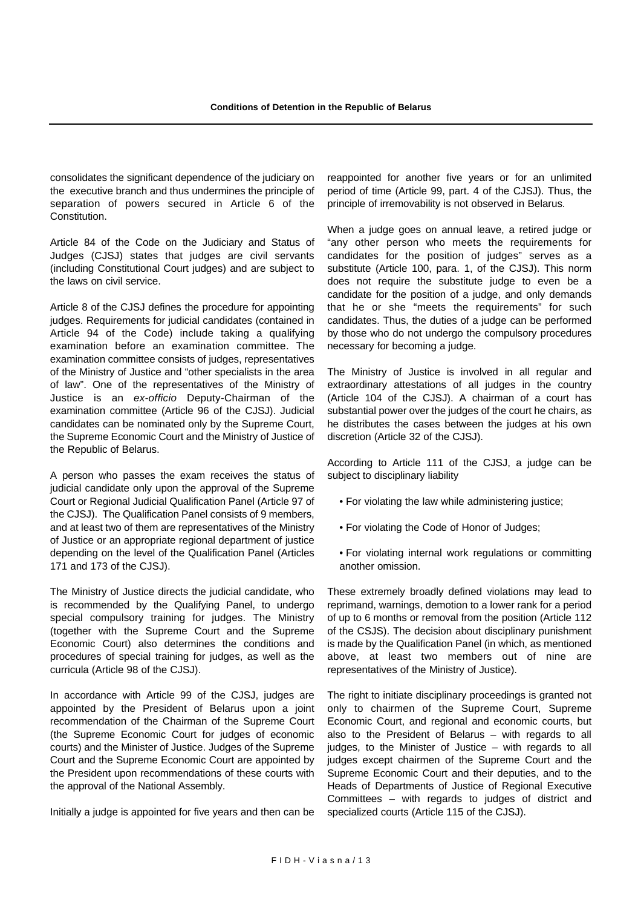consolidates the significant dependence of the judiciary on the executive branch and thus undermines the principle of separation of powers secured in Article 6 of the Constitution.

Article 84 of the Code on the Judiciary and Status of Judges (CJSJ) states that judges are civil servants (including Constitutional Court judges) and are subject to the laws on civil service.

Article 8 of the CJSJ defines the procedure for appointing judges. Requirements for judicial candidates (contained in Article 94 of the Code) include taking a qualifying examination before an examination committee. The examination committee consists of judges, representatives of the Ministry of Justice and "other specialists in the area of law". One of the representatives of the Ministry of Justice is an *ex-officio* Deputy-Chairman of the examination committee (Article 96 of the CJSJ). Judicial candidates can be nominated only by the Supreme Court, the Supreme Economic Court and the Ministry of Justice of the Republic of Belarus.

A person who passes the exam receives the status of judicial candidate only upon the approval of the Supreme Court or Regional Judicial Qualification Panel (Article 97 of the CJSJ). The Qualification Panel consists of 9 members, and at least two of them are representatives of the Ministry of Justice or an appropriate regional department of justice depending on the level of the Qualification Panel (Articles 171 and 173 of the CJSJ).

The Ministry of Justice directs the judicial candidate, who is recommended by the Qualifying Panel, to undergo special compulsory training for judges. The Ministry (together with the Supreme Court and the Supreme Economic Court) also determines the conditions and procedures of special training for judges, as well as the curricula (Article 98 of the CJSJ).

In accordance with Article 99 of the CJSJ, judges are appointed by the President of Belarus upon a joint recommendation of the Chairman of the Supreme Court (the Supreme Economic Court for judges of economic courts) and the Minister of Justice. Judges of the Supreme Court and the Supreme Economic Court are appointed by the President upon recommendations of these courts with the approval of the National Assembly.

Initially a judge is appointed for five years and then can be

reappointed for another five years or for an unlimited period of time (Article 99, part. 4 of the CJSJ). Thus, the principle of irremovability is not observed in Belarus.

When a judge goes on annual leave, a retired judge or "any other person who meets the requirements for candidates for the position of judges" serves as a substitute (Article 100, para. 1, of the CJSJ). This norm does not require the substitute judge to even be a candidate for the position of a judge, and only demands that he or she "meets the requirements" for such candidates. Thus, the duties of a judge can be performed by those who do not undergo the compulsory procedures necessary for becoming a judge.

The Ministry of Justice is involved in all regular and extraordinary attestations of all judges in the country (Article 104 of the CJSJ). A chairman of a court has substantial power over the judges of the court he chairs, as he distributes the cases between the judges at his own discretion (Article 32 of the CJSJ).

According to Article 111 of the CJSJ, a judge can be subject to disciplinary liability

- For violating the law while administering justice;
- For violating the Code of Honor of Judges;
- For violating internal work regulations or committing another omission.

These extremely broadly defined violations may lead to reprimand, warnings, demotion to a lower rank for a period of up to 6 months or removal from the position (Article 112 of the CSJS). The decision about disciplinary punishment is made by the Qualification Panel (in which, as mentioned above, at least two members out of nine are representatives of the Ministry of Justice).

The right to initiate disciplinary proceedings is granted not only to chairmen of the Supreme Court, Supreme Economic Court, and regional and economic courts, but also to the President of Belarus – with regards to all judges, to the Minister of Justice – with regards to all judges except chairmen of the Supreme Court and the Supreme Economic Court and their deputies, and to the Heads of Departments of Justice of Regional Executive Committees – with regards to judges of district and specialized courts (Article 115 of the CJSJ).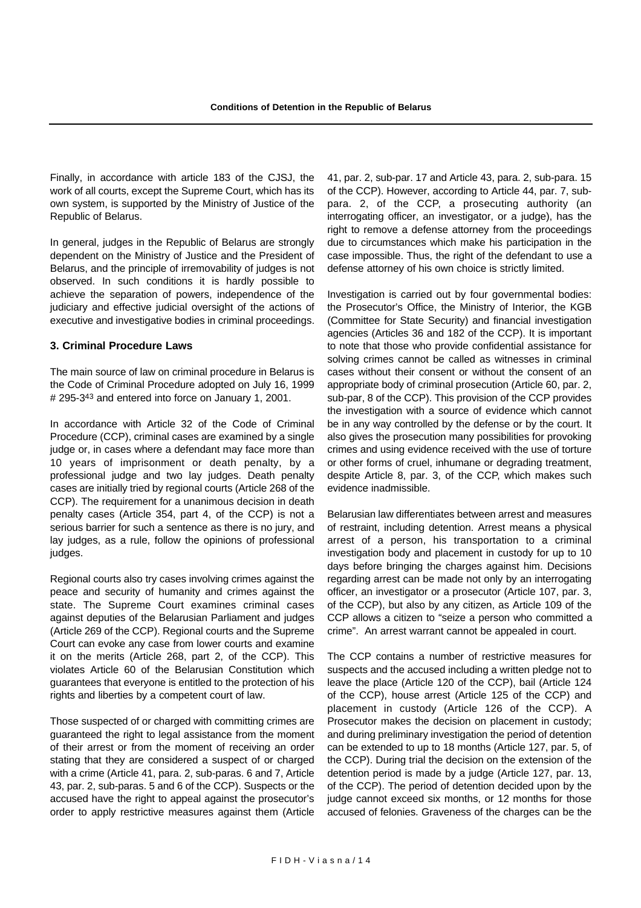Finally, in accordance with article 183 of the CJSJ, the work of all courts, except the Supreme Court, which has its own system, is supported by the Ministry of Justice of the Republic of Belarus.

In general, judges in the Republic of Belarus are strongly dependent on the Ministry of Justice and the President of Belarus, and the principle of irremovability of judges is not observed. In such conditions it is hardly possible to achieve the separation of powers, independence of the judiciary and effective judicial oversight of the actions of executive and investigative bodies in criminal proceedings.

#### **3. Criminal Procedure Laws**

The main source of law on criminal procedure in Belarus is the Code of Criminal Procedure adopted on July 16, 1999 # 295-343 and entered into force on January 1, 2001.

In accordance with Article 32 of the Code of Criminal Procedure (CCP), criminal cases are examined by a single judge or, in cases where a defendant may face more than 10 years of imprisonment or death penalty, by a professional judge and two lay judges. Death penalty cases are initially tried by regional courts (Article 268 of the CCP). The requirement for a unanimous decision in death penalty cases (Article 354, part 4, of the CCP) is not a serious barrier for such a sentence as there is no jury, and lay judges, as a rule, follow the opinions of professional judges.

Regional courts also try cases involving crimes against the peace and security of humanity and crimes against the state. The Supreme Court examines criminal cases against deputies of the Belarusian Parliament and judges (Article 269 of the CCP). Regional courts and the Supreme Court can evoke any case from lower courts and examine it on the merits (Article 268, part 2, of the CCP). This violates Article 60 of the Belarusian Constitution which guarantees that everyone is entitled to the protection of his rights and liberties by a competent court of law.

Those suspected of or charged with committing crimes are guaranteed the right to legal assistance from the moment of their arrest or from the moment of receiving an order stating that they are considered a suspect of or charged with a crime (Article 41, para. 2, sub-paras. 6 and 7, Article 43, par. 2, sub-paras. 5 and 6 of the CCP). Suspects or the accused have the right to appeal against the prosecutor's order to apply restrictive measures against them (Article 41, par. 2, sub-par. 17 and Article 43, para. 2, sub-para. 15 of the CCP). However, according to Article 44, par. 7, subpara. 2, of the CCP, a prosecuting authority (an interrogating officer, an investigator, or a judge), has the right to remove a defense attorney from the proceedings due to circumstances which make his participation in the case impossible. Thus, the right of the defendant to use a defense attorney of his own choice is strictly limited.

Investigation is carried out by four governmental bodies: the Prosecutor's Office, the Ministry of Interior, the KGB (Committee for State Security) and financial investigation agencies (Articles 36 and 182 of the CCP). It is important to note that those who provide confidential assistance for solving crimes cannot be called as witnesses in criminal cases without their consent or without the consent of an appropriate body of criminal prosecution (Article 60, par. 2, sub-par, 8 of the CCP). This provision of the CCP provides the investigation with a source of evidence which cannot be in any way controlled by the defense or by the court. It also gives the prosecution many possibilities for provoking crimes and using evidence received with the use of torture or other forms of cruel, inhumane or degrading treatment, despite Article 8, par. 3, of the CCP, which makes such evidence inadmissible.

Belarusian law differentiates between arrest and measures of restraint, including detention. Arrest means a physical arrest of a person, his transportation to a criminal investigation body and placement in custody for up to 10 days before bringing the charges against him. Decisions regarding arrest can be made not only by an interrogating officer, an investigator or a prosecutor (Article 107, par. 3, of the CCP), but also by any citizen, as Article 109 of the CCP allows a citizen to "seize a person who committed a crime". An arrest warrant cannot be appealed in court.

The CCP contains a number of restrictive measures for suspects and the accused including a written pledge not to leave the place (Article 120 of the CCP), bail (Article 124 of the CCP), house arrest (Article 125 of the CCP) and placement in custody (Article 126 of the CCP). A Prosecutor makes the decision on placement in custody; and during preliminary investigation the period of detention can be extended to up to 18 months (Article 127, par. 5, of the CCP). During trial the decision on the extension of the detention period is made by a judge (Article 127, par. 13, of the CCP). The period of detention decided upon by the judge cannot exceed six months, or 12 months for those accused of felonies. Graveness of the charges can be the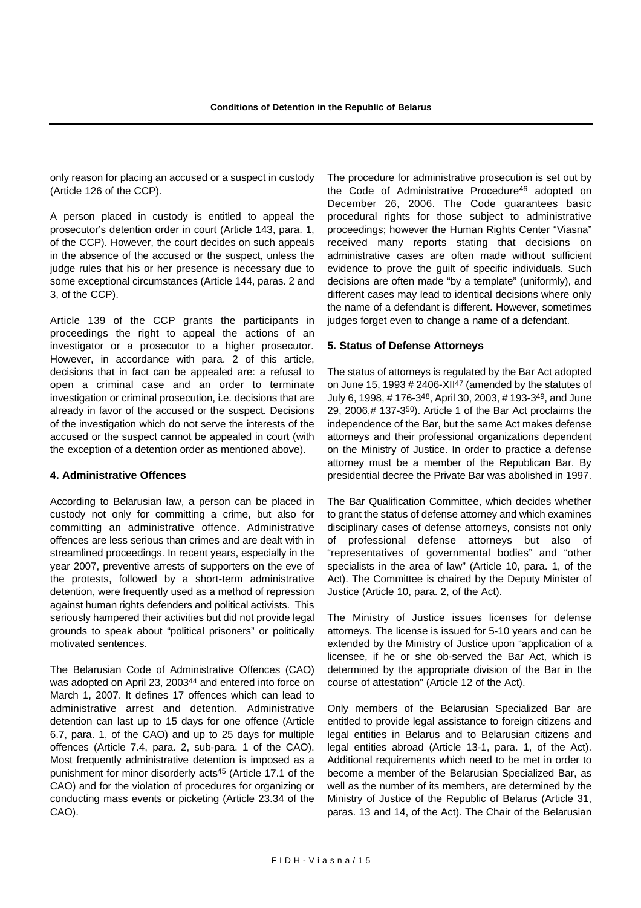only reason for placing an accused or a suspect in custody (Article 126 of the CCP).

A person placed in custody is entitled to appeal the prosecutor's detention order in court (Article 143, para. 1, of the CCP). However, the court decides on such appeals in the absence of the accused or the suspect, unless the judge rules that his or her presence is necessary due to some exceptional circumstances (Article 144, paras. 2 and 3, of the CCP).

Article 139 of the CCP grants the participants in proceedings the right to appeal the actions of an investigator or a prosecutor to a higher prosecutor. However, in accordance with para. 2 of this article, decisions that in fact can be appealed are: a refusal to open a criminal case and an order to terminate investigation or criminal prosecution, i.e. decisions that are already in favor of the accused or the suspect. Decisions of the investigation which do not serve the interests of the accused or the suspect cannot be appealed in court (with the exception of a detention order as mentioned above).

#### **4. Administrative Offences**

According to Belarusian law, a person can be placed in custody not only for committing a crime, but also for committing an administrative offence. Administrative offences are less serious than crimes and are dealt with in streamlined proceedings. In recent years, especially in the year 2007, preventive arrests of supporters on the eve of the protests, followed by a short-term administrative detention, were frequently used as a method of repression against human rights defenders and political activists. This seriously hampered their activities but did not provide legal grounds to speak about "political prisoners" or politically motivated sentences.

The Belarusian Code of Administrative Offences (CAO) was adopted on April 23, 200344 and entered into force on March 1, 2007. It defines 17 offences which can lead to administrative arrest and detention. Administrative detention can last up to 15 days for one offence (Article 6.7, para. 1, of the CAO) and up to 25 days for multiple offences (Article 7.4, para. 2, sub-para. 1 of the CAO). Most frequently administrative detention is imposed as a punishment for minor disorderly acts45 (Article 17.1 of the CAO) and for the violation of procedures for organizing or conducting mass events or picketing (Article 23.34 of the CAO).

The procedure for administrative prosecution is set out by the Code of Administrative Procedure46 adopted on December 26, 2006. The Code guarantees basic procedural rights for those subject to administrative proceedings; however the Human Rights Center "Viasna" received many reports stating that decisions on administrative cases are often made without sufficient evidence to prove the guilt of specific individuals. Such decisions are often made "by a template" (uniformly), and different cases may lead to identical decisions where only the name of a defendant is different. However, sometimes judges forget even to change a name of a defendant.

#### **5. Status of Defense Attorneys**

The status of attorneys is regulated by the Bar Act adopted on June 15, 1993 # 2406-XII47 (amended by the statutes of July 6, 1998, # 176-348, April 30, 2003, # 193-349, and June 29, 2006,# 137-350). Article 1 of the Bar Act proclaims the independence of the Bar, but the same Act makes defense attorneys and their professional organizations dependent on the Ministry of Justice. In order to practice a defense attorney must be a member of the Republican Bar. By presidential decree the Private Bar was abolished in 1997.

The Bar Qualification Committee, which decides whether to grant the status of defense attorney and which examines disciplinary cases of defense attorneys, consists not only of professional defense attorneys but also of "representatives of governmental bodies" and "other specialists in the area of law" (Article 10, para. 1, of the Act). The Committee is chaired by the Deputy Minister of Justice (Article 10, para. 2, of the Act).

The Ministry of Justice issues licenses for defense attorneys. The license is issued for 5-10 years and can be extended by the Ministry of Justice upon "application of a licensee, if he or she ob-served the Bar Act, which is determined by the appropriate division of the Bar in the course of attestation" (Article 12 of the Act).

Only members of the Belarusian Specialized Bar are entitled to provide legal assistance to foreign citizens and legal entities in Belarus and to Belarusian citizens and legal entities abroad (Article 13-1, para. 1, of the Act). Additional requirements which need to be met in order to become a member of the Belarusian Specialized Bar, as well as the number of its members, are determined by the Ministry of Justice of the Republic of Belarus (Article 31, paras. 13 and 14, of the Act). The Chair of the Belarusian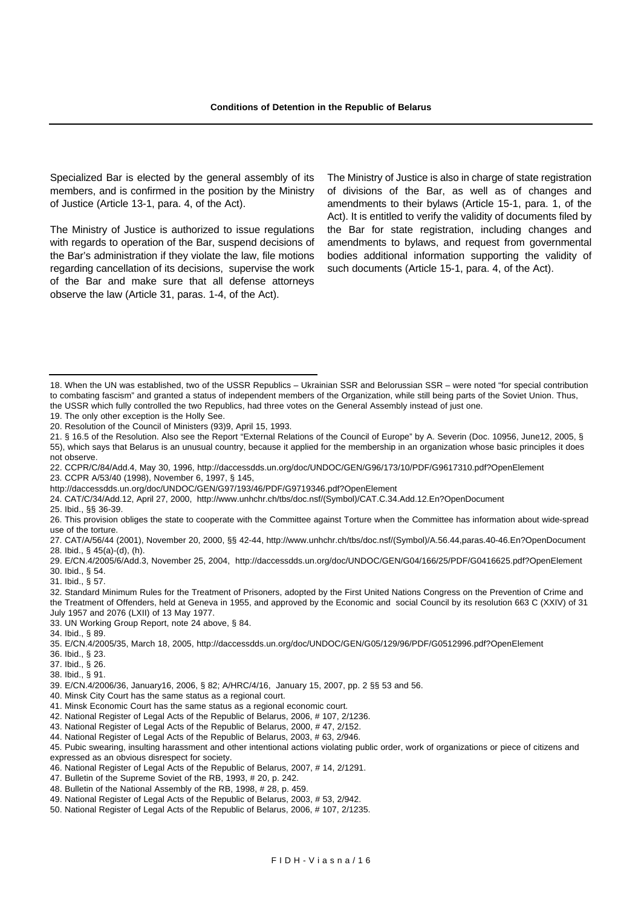Specialized Bar is elected by the general assembly of its members, and is confirmed in the position by the Ministry of Justice (Article 13-1, para. 4, of the Act).

The Ministry of Justice is authorized to issue regulations with regards to operation of the Bar, suspend decisions of the Bar's administration if they violate the law, file motions regarding cancellation of its decisions, supervise the work of the Bar and make sure that all defense attorneys observe the law (Article 31, paras. 1-4, of the Act).

The Ministry of Justice is also in charge of state registration of divisions of the Bar, as well as of changes and amendments to their bylaws (Article 15-1, para. 1, of the Act). It is entitled to verify the validity of documents filed by the Bar for state registration, including changes and amendments to bylaws, and request from governmental bodies additional information supporting the validity of such documents (Article 15-1, para. 4, of the Act).

- 21. § 16.5 of the Resolution. Also see the Report "External Relations of the Council of Europe" by A. Severin (Doc. 10956, June12, 2005, § 55), which says that Belarus is an unusual country, because it applied for the membership in an organization whose basic principles it does not observe.
- 22. CCPR/C/84/Add.4, May 30, 1996, http://daccessdds.un.org/doc/UNDOC/GEN/G96/173/10/PDF/G9617310.pdf?OpenElement

23. CCPR A/53/40 (1998), November 6, 1997, § 145,

http://daccessdds.un.org/doc/UNDOC/GEN/G97/193/46/PDF/G9719346.pdf?OpenElement

- 24. CAT/C/34/Add.12, April 27, 2000, http://www.unhchr.ch/tbs/doc.nsf/(Symbol)/CAT.C.34.Add.12.En?OpenDocument
- 25. Ibid., §§ 36-39.
- 26. This provision obliges the state to cooperate with the Committee against Torture when the Committee has information about wide-spread use of the torture.
- 27. CAT/A/56/44 (2001), November 20, 2000, §§ 42-44, http://www.unhchr.ch/tbs/doc.nsf/(Symbol)/A.56.44,paras.40-46.En?OpenDocument 28. Ibid., § 45(a)-(d), (h).
- 29. E/CN.4/2005/6/Add.3, November 25, 2004, http://daccessdds.un.org/doc/UNDOC/GEN/G04/166/25/PDF/G0416625.pdf?OpenElement 30. Ibid., § 54.
- 31. Ibid., § 57.
- 32. Standard Minimum Rules for the Treatment of Prisoners, adopted by the First United Nations Congress on the Prevention of Crime and the Treatment of Offenders, held at Geneva in 1955, and approved by the Economic and social Council by its resolution 663 C (XXIV) of 31 July 1957 and 2076 (LXII) of 13 May 1977.
- 33. UN Working Group Report, note 24 above, § 84.
- 34. Ibid., § 89.
- 35. E/CN.4/2005/35, March 18, 2005, http://daccessdds.un.org/doc/UNDOC/GEN/G05/129/96/PDF/G0512996.pdf?OpenElement
- 36. Ibid., § 23.
- 37. Ibid., § 26.
- 38. Ibid., § 91.
- 39. E/CN.4/2006/36, January16, 2006, § 82; A/HRC/4/16, January 15, 2007, pp. 2 §§ 53 and 56.
- 40. Minsk City Court has the same status as a regional court.
- 41. Minsk Economic Court has the same status as a regional economic court.
- 42. National Register of Legal Acts of the Republic of Belarus, 2006, # 107, 2/1236.
- 43. National Register of Legal Acts of the Republic of Belarus, 2000, # 47, 2/152.
- 44. National Register of Legal Acts of the Republic of Belarus, 2003, # 63, 2/946.

45. Pubic swearing, insulting harassment and other intentional actions violating public order, work of organizations or piece of citizens and expressed as an obvious disrespect for society.

- 46. National Register of Legal Acts of the Republic of Belarus, 2007, # 14, 2/1291.
- 47. Bulletin of the Supreme Soviet of the RB, 1993, # 20, p. 242.
- 48. Bulletin of the National Assembly of the RB, 1998, # 28, p. 459.
- 49. National Register of Legal Acts of the Republic of Belarus, 2003, # 53, 2/942.
- 50. National Register of Legal Acts of the Republic of Belarus, 2006, # 107, 2/1235.

<sup>18.</sup> When the UN was established, two of the USSR Republics – Ukrainian SSR and Belorussian SSR – were noted "for special contribution to combating fascism" and granted a status of independent members of the Organization, while still being parts of the Soviet Union. Thus, the USSR which fully controlled the two Republics, had three votes on the General Assembly instead of just one.

<sup>19.</sup> The only other exception is the Holly See.

<sup>20.</sup> Resolution of the Council of Ministers (93)9, April 15, 1993.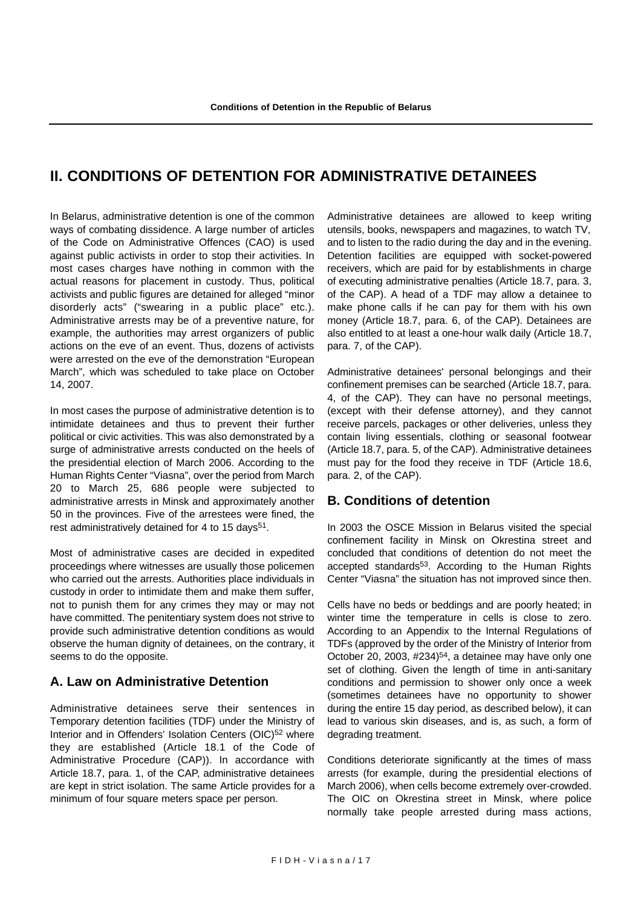# **II. CONDITIONS OF DETENTION FOR ADMINISTRATIVE DETAINEES**

In Belarus, administrative detention is one of the common ways of combating dissidence. A large number of articles of the Code on Administrative Offences (CAO) is used against public activists in order to stop their activities. In most cases charges have nothing in common with the actual reasons for placement in custody. Thus, political activists and public figures are detained for alleged "minor disorderly acts" ("swearing in a public place" etc.). Administrative arrests may be of a preventive nature, for example, the authorities may arrest organizers of public actions on the eve of an event. Thus, dozens of activists were arrested on the eve of the demonstration "European March", which was scheduled to take place on October 14, 2007.

In most cases the purpose of administrative detention is to intimidate detainees and thus to prevent their further political or civic activities. This was also demonstrated by a surge of administrative arrests conducted on the heels of the presidential election of March 2006. According to the Human Rights Center "Viasna", over the period from March 20 to March 25, 686 people were subjected to administrative arrests in Minsk and approximately another 50 in the provinces. Five of the arrestees were fined, the rest administratively detained for 4 to 15 days<sup>51</sup>.

Most of administrative cases are decided in expedited proceedings where witnesses are usually those policemen who carried out the arrests. Authorities place individuals in custody in order to intimidate them and make them suffer, not to punish them for any crimes they may or may not have committed. The penitentiary system does not strive to provide such administrative detention conditions as would observe the human dignity of detainees, on the contrary, it seems to do the opposite.

# **A. Law on Administrative Detention**

Administrative detainees serve their sentences in Temporary detention facilities (TDF) under the Ministry of Interior and in Offenders' Isolation Centers (OIC)<sup>52</sup> where they are established (Article 18.1 of the Code of Administrative Procedure (CAP)). In accordance with Article 18.7, para. 1, of the CAP, administrative detainees are kept in strict isolation. The same Article provides for a minimum of four square meters space per person.

Administrative detainees are allowed to keep writing utensils, books, newspapers and magazines, to watch TV, and to listen to the radio during the day and in the evening. Detention facilities are equipped with socket-powered receivers, which are paid for by establishments in charge of executing administrative penalties (Article 18.7, para. 3, of the CAP). A head of a TDF may allow a detainee to make phone calls if he can pay for them with his own money (Article 18.7, para. 6, of the CAP). Detainees are also entitled to at least a one-hour walk daily (Article 18.7, para. 7, of the CAP).

Administrative detainees' personal belongings and their confinement premises can be searched (Article 18.7, para. 4, of the CAP). They can have no personal meetings, (except with their defense attorney), and they cannot receive parcels, packages or other deliveries, unless they contain living essentials, clothing or seasonal footwear (Article 18.7, para. 5, of the CAP). Administrative detainees must pay for the food they receive in TDF (Article 18.6, para. 2, of the CAP).

# **B. Conditions of detention**

In 2003 the OSCE Mission in Belarus visited the special confinement facility in Minsk on Okrestina street and concluded that conditions of detention do not meet the accepted standards53. According to the Human Rights Center "Viasna" the situation has not improved since then.

Cells have no beds or beddings and are poorly heated; in winter time the temperature in cells is close to zero. According to an Appendix to the Internal Regulations of TDFs (approved by the order of the Ministry of Interior from October 20, 2003, #234)54, a detainee may have only one set of clothing. Given the length of time in anti-sanitary conditions and permission to shower only once a week (sometimes detainees have no opportunity to shower during the entire 15 day period, as described below), it can lead to various skin diseases, and is, as such, a form of degrading treatment.

Conditions deteriorate significantly at the times of mass arrests (for example, during the presidential elections of March 2006), when cells become extremely over-crowded. The OIC on Okrestina street in Minsk, where police normally take people arrested during mass actions,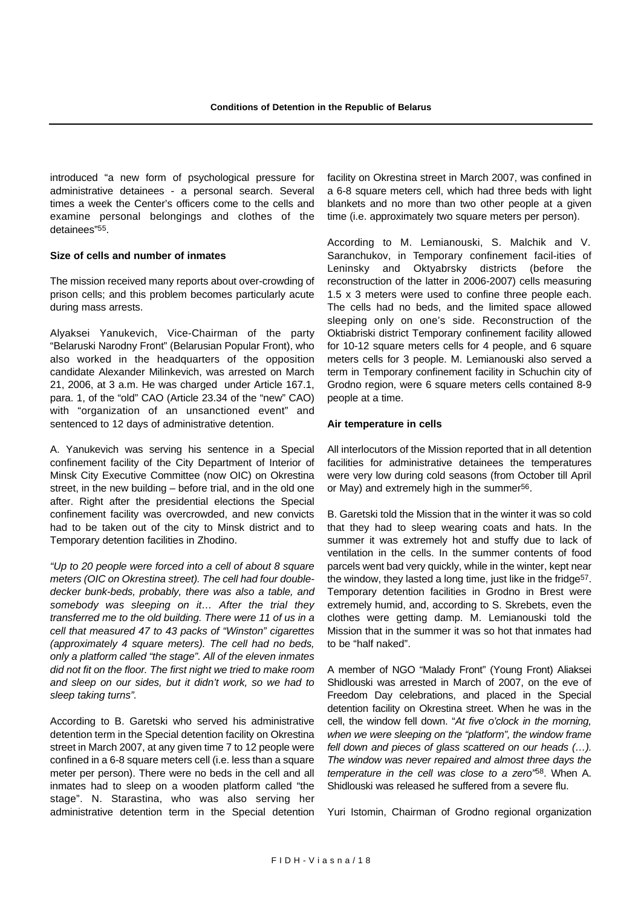introduced "a new form of psychological pressure for administrative detainees - a personal search. Several times a week the Center's officers come to the cells and examine personal belongings and clothes of the detainees"55.

#### **Size of cells and number of inmates**

The mission received many reports about over-crowding of prison cells; and this problem becomes particularly acute during mass arrests.

Alyaksei Yanukevich, Vice-Chairman of the party "Belaruski Narodny Front" (Belarusian Popular Front), who also worked in the headquarters of the opposition candidate Alexander Milinkevich, was arrested on March 21, 2006, at 3 a.m. He was charged under Article 167.1, para. 1, of the "old" CAO (Article 23.34 of the "new" CAO) with "organization of an unsanctioned event" and sentenced to 12 days of administrative detention.

A. Yanukevich was serving his sentence in a Special confinement facility of the City Department of Interior of Minsk City Executive Committee (now OIC) on Okrestina street, in the new building – before trial, and in the old one after. Right after the presidential elections the Special confinement facility was overcrowded, and new convicts had to be taken out of the city to Minsk district and to Temporary detention facilities in Zhodino.

*"Up to 20 people were forced into a cell of about 8 square meters (OIC on Okrestina street). The cell had four doubledecker bunk-beds, probably, there was also a table, and somebody was sleeping on it… After the trial they transferred me to the old building. There were 11 of us in a cell that measured 47 to 43 packs of "Winston" cigarettes (approximately 4 square meters). The cell had no beds, only a platform called "the stage". All of the eleven inmates did not fit on the floor. The first night we tried to make room and sleep on our sides, but it didn't work, so we had to sleep taking turns".* 

According to B. Garetski who served his administrative detention term in the Special detention facility on Okrestina street in March 2007, at any given time 7 to 12 people were confined in a 6-8 square meters cell (i.e. less than a square meter per person). There were no beds in the cell and all inmates had to sleep on a wooden platform called "the stage". N. Starastina, who was also serving her administrative detention term in the Special detention facility on Okrestina street in March 2007, was confined in a 6-8 square meters cell, which had three beds with light blankets and no more than two other people at a given time (i.e. approximately two square meters per person).

According to M. Lemianouski, S. Malchik and V. Saranchukov, in Temporary confinement facil-ities of Leninsky and Oktyabrsky districts (before the reconstruction of the latter in 2006-2007) cells measuring 1.5 x 3 meters were used to confine three people each. The cells had no beds, and the limited space allowed sleeping only on one's side. Reconstruction of the Oktiabriski district Temporary confinement facility allowed for 10-12 square meters cells for 4 people, and 6 square meters cells for 3 people. M. Lemianouski also served a term in Temporary confinement facility in Schuchin city of Grodno region, were 6 square meters cells contained 8-9 people at a time.

#### **Air temperature in cells**

All interlocutors of the Mission reported that in all detention facilities for administrative detainees the temperatures were very low during cold seasons (from October till April or May) and extremely high in the summer<sup>56</sup>.

B. Garetski told the Mission that in the winter it was so cold that they had to sleep wearing coats and hats. In the summer it was extremely hot and stuffy due to lack of ventilation in the cells. In the summer contents of food parcels went bad very quickly, while in the winter, kept near the window, they lasted a long time, just like in the fridge<sup>57</sup>. Temporary detention facilities in Grodno in Brest were extremely humid, and, according to S. Skrebets, even the clothes were getting damp. M. Lemianouski told the Mission that in the summer it was so hot that inmates had to be "half naked".

A member of NGO "Malady Front" (Young Front) Aliaksei Shidlouski was arrested in March of 2007, on the eve of Freedom Day celebrations, and placed in the Special detention facility on Okrestina street. When he was in the cell, the window fell down. "*At five o'clock in the morning, when we were sleeping on the "platform", the window frame fell down and pieces of glass scattered on our heads (…). The window was never repaired and almost three days the temperature in the cell was close to a zero"*58. When A. Shidlouski was released he suffered from a severe flu.

Yuri Istomin, Chairman of Grodno regional organization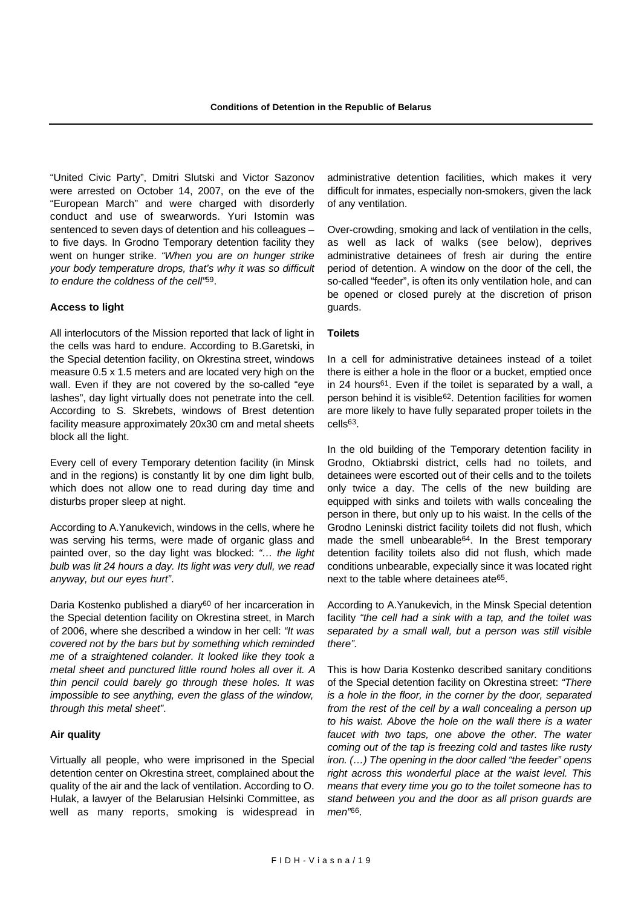"United Civic Party", Dmitri Slutski and Victor Sazonov were arrested on October 14, 2007, on the eve of the "European March" and were charged with disorderly conduct and use of swearwords. Yuri Istomin was sentenced to seven days of detention and his colleagues – to five days. In Grodno Temporary detention facility they went on hunger strike. *"When you are on hunger strike your body temperature drops, that's why it was so difficult to endure the coldness of the cell"*59.

#### **Access to light**

All interlocutors of the Mission reported that lack of light in the cells was hard to endure. According to B.Garetski, in the Special detention facility, on Okrestina street, windows measure 0.5 x 1.5 meters and are located very high on the wall. Even if they are not covered by the so-called "eye lashes", day light virtually does not penetrate into the cell. According to S. Skrebets, windows of Brest detention facility measure approximately 20x30 cm and metal sheets block all the light.

Every cell of every Temporary detention facility (in Minsk and in the regions) is constantly lit by one dim light bulb, which does not allow one to read during day time and disturbs proper sleep at night.

According to A.Yanukevich, windows in the cells, where he was serving his terms, were made of organic glass and painted over, so the day light was blocked: *"… the light bulb was lit 24 hours a day. Its light was very dull, we read anyway, but our eyes hurt"*.

Daria Kostenko published a diary<sup>60</sup> of her incarceration in the Special detention facility on Okrestina street, in March of 2006, where she described a window in her cell: *"It was covered not by the bars but by something which reminded me of a straightened colander. It looked like they took a metal sheet and punctured little round holes all over it. A thin pencil could barely go through these holes. It was impossible to see anything, even the glass of the window, through this metal sheet"*.

#### **Air quality**

Virtually all people, who were imprisoned in the Special detention center on Okrestina street, complained about the quality of the air and the lack of ventilation. According to O. Hulak, a lawyer of the Belarusian Helsinki Committee, as well as many reports, smoking is widespread in administrative detention facilities, which makes it very difficult for inmates, especially non-smokers, given the lack of any ventilation.

Over-crowding, smoking and lack of ventilation in the cells, as well as lack of walks (see below), deprives administrative detainees of fresh air during the entire period of detention. A window on the door of the cell, the so-called "feeder", is often its only ventilation hole, and can be opened or closed purely at the discretion of prison guards.

#### **Toilets**

In a cell for administrative detainees instead of a toilet there is either a hole in the floor or a bucket, emptied once in 24 hours61. Even if the toilet is separated by a wall, a person behind it is visible<sup>62</sup>. Detention facilities for women are more likely to have fully separated proper toilets in the cells63.

In the old building of the Temporary detention facility in Grodno, Oktiabrski district, cells had no toilets, and detainees were escorted out of their cells and to the toilets only twice a day. The cells of the new building are equipped with sinks and toilets with walls concealing the person in there, but only up to his waist. In the cells of the Grodno Leninski district facility toilets did not flush, which made the smell unbearable<sup>64</sup>. In the Brest temporary detention facility toilets also did not flush, which made conditions unbearable, expecially since it was located right next to the table where detainees ate65.

According to A.Yanukevich, in the Minsk Special detention facility *"the cell had a sink with a tap, and the toilet was separated by a small wall, but a person was still visible there".*

This is how Daria Kostenko described sanitary conditions of the Special detention facility on Okrestina street: *"There is a hole in the floor, in the corner by the door, separated from the rest of the cell by a wall concealing a person up to his waist. Above the hole on the wall there is a water faucet with two taps, one above the other. The water coming out of the tap is freezing cold and tastes like rusty iron. (…) The opening in the door called "the feeder" opens right across this wonderful place at the waist level. This means that every time you go to the toilet someone has to stand between you and the door as all prison guards are men"*66.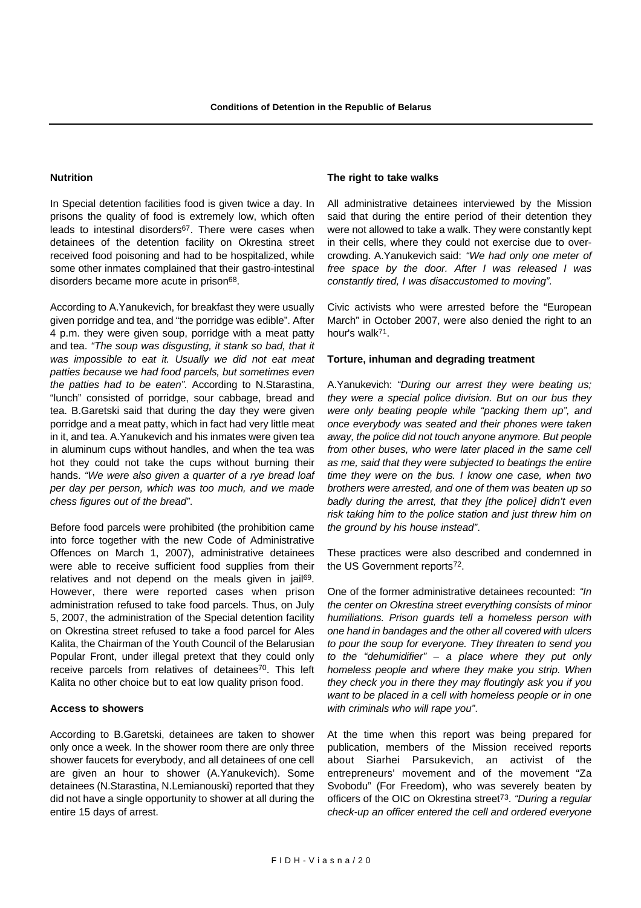#### **Nutrition**

In Special detention facilities food is given twice a day. In prisons the quality of food is extremely low, which often leads to intestinal disorders<sup>67</sup>. There were cases when detainees of the detention facility on Okrestina street received food poisoning and had to be hospitalized, while some other inmates complained that their gastro-intestinal disorders became more acute in prison<sup>68</sup>.

According to A.Yanukevich, for breakfast they were usually given porridge and tea, and "the porridge was edible". After 4 p.m. they were given soup, porridge with a meat patty and tea. *"The soup was disgusting, it stank so bad, that it was impossible to eat it. Usually we did not eat meat patties because we had food parcels, but sometimes even the patties had to be eaten".* According to N.Starastina, "lunch" consisted of porridge, sour cabbage, bread and tea. B.Garetski said that during the day they were given porridge and a meat patty, which in fact had very little meat in it, and tea. A.Yanukevich and his inmates were given tea in aluminum cups without handles, and when the tea was hot they could not take the cups without burning their hands. *"We were also given a quarter of a rye bread loaf per day per person, which was too much, and we made chess figures out of the bread"*.

Before food parcels were prohibited (the prohibition came into force together with the new Code of Administrative Offences on March 1, 2007), administrative detainees were able to receive sufficient food supplies from their relatives and not depend on the meals given in jail<sup>69</sup>. However, there were reported cases when prison administration refused to take food parcels. Thus, on July 5, 2007, the administration of the Special detention facility on Okrestina street refused to take a food parcel for Ales Kalita, the Chairman of the Youth Council of the Belarusian Popular Front, under illegal pretext that they could only receive parcels from relatives of detainees70. This left Kalita no other choice but to eat low quality prison food.

#### **Access to showers**

According to B.Garetski, detainees are taken to shower only once a week. In the shower room there are only three shower faucets for everybody, and all detainees of one cell are given an hour to shower (A.Yanukevich). Some detainees (N.Starastina, N.Lemianouski) reported that they did not have a single opportunity to shower at all during the entire 15 days of arrest.

#### **The right to take walks**

All administrative detainees interviewed by the Mission said that during the entire period of their detention they were not allowed to take a walk. They were constantly kept in their cells, where they could not exercise due to overcrowding. A.Yanukevich said: *"We had only one meter of free space by the door. After I was released I was constantly tired, I was disaccustomed to moving".*

Civic activists who were arrested before the "European March" in October 2007, were also denied the right to an hour's walk71.

#### **Torture, inhuman and degrading treatment**

A.Yanukevich: *"During our arrest they were beating us; they were a special police division. But on our bus they were only beating people while "packing them up", and once everybody was seated and their phones were taken away, the police did not touch anyone anymore. But people from other buses, who were later placed in the same cell as me, said that they were subjected to beatings the entire time they were on the bus. I know one case, when two brothers were arrested, and one of them was beaten up so badly during the arrest, that they [the police] didn't even risk taking him to the police station and just threw him on the ground by his house instead"*.

These practices were also described and condemned in the US Government reports<sup>72</sup>.

One of the former administrative detainees recounted: *"In the center on Okrestina street everything consists of minor humiliations. Prison guards tell a homeless person with one hand in bandages and the other all covered with ulcers to pour the soup for everyone. They threaten to send you to the "dehumidifier" – a place where they put only homeless people and where they make you strip. When they check you in there they may floutingly ask you if you want to be placed in a cell with homeless people or in one with criminals who will rape you"*.

At the time when this report was being prepared for publication, members of the Mission received reports about Siarhei Parsukevich, an activist of the entrepreneurs' movement and of the movement "Za Svobodu" (For Freedom), who was severely beaten by officers of the OIC on Okrestina street73. *"During a regular check-up an officer entered the cell and ordered everyone*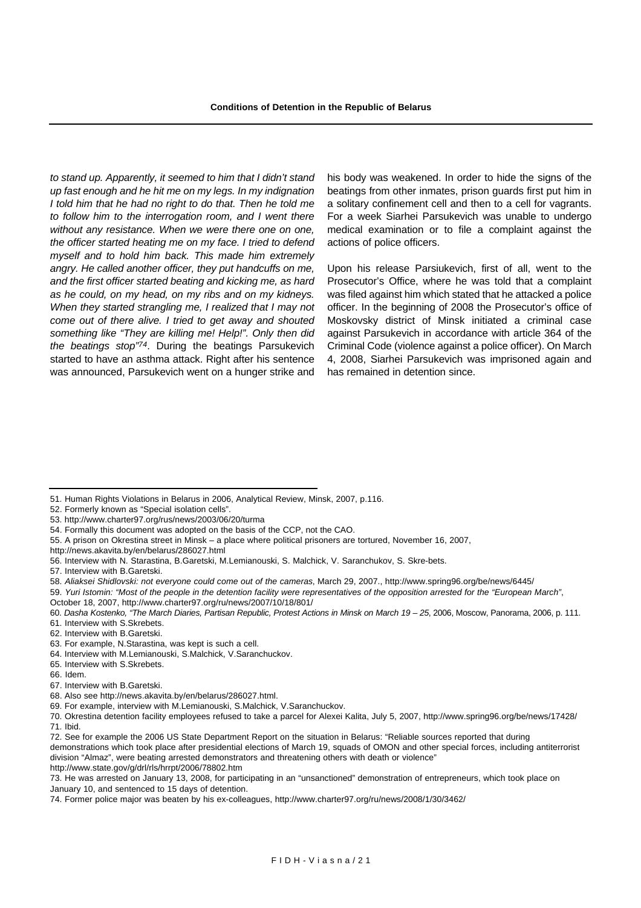*to stand up. Apparently, it seemed to him that I didn't stand up fast enough and he hit me on my legs. In my indignation I told him that he had no right to do that. Then he told me to follow him to the interrogation room, and I went there without any resistance. When we were there one on one, the officer started heating me on my face. I tried to defend myself and to hold him back. This made him extremely angry. He called another officer, they put handcuffs on me, and the first officer started beating and kicking me, as hard as he could, on my head, on my ribs and on my kidneys. When they started strangling me, I realized that I may not come out of there alive. I tried to get away and shouted something like "They are killing me! Help!". Only then did the beatings stop"74*. During the beatings Parsukevich started to have an asthma attack. Right after his sentence was announced, Parsukevich went on a hunger strike and

his body was weakened. In order to hide the signs of the beatings from other inmates, prison guards first put him in a solitary confinement cell and then to a cell for vagrants. For a week Siarhei Parsukevich was unable to undergo medical examination or to file a complaint against the actions of police officers.

Upon his release Parsiukevich, first of all, went to the Prosecutor's Office, where he was told that a complaint was filed against him which stated that he attacked a police officer. In the beginning of 2008 the Prosecutor's office of Moskovsky district of Minsk initiated a criminal case against Parsukevich in accordance with article 364 of the Criminal Code (violence against a police officer). On March 4, 2008, Siarhei Parsukevich was imprisoned again and has remained in detention since.

- 52. Formerly known as "Special isolation cells".
- 53. http://www.charter97.org/rus/news/2003/06/20/turma

- 55. A prison on Okrestina street in Minsk a place where political prisoners are tortured, November 16, 2007,
- http://news.akavita.by/en/belarus/286027.html
- 56. Interview with N. Starastina, B.Garetski, M.Lemianouski, S. Malchick, V. Saranchukov, S. Skre-bets.
- 57. Interview with B.Garetski.
- 58. *Aliaksei Shidlovski: not everyone could come out of the cameras*, March 29, 2007., http://www.spring96.org/be/news/6445/
- 59. *Yuri Istomin: "Most of the people in the detention facility were representatives of the opposition arrested for the "European March"*,
- October 18, 2007, http://www.charter97.org/ru/news/2007/10/18/801/
- 60. *Dasha Kostenko, "The March Diaries, Partisan Republic, Protest Actions in Minsk on March 19 25*, 2006, Moscow, Panorama, 2006, p. 111.
- 61. Interview with S.Skrebets.
- 62. Interview with B.Garetski.
- 63. For example, N.Starastina, was kept is such a cell.
- 64. Interview with M.Lemianouski, S.Malchick, V.Saranchuckov.
- 65. Interview with S.Skrebets.
- 66. Idem.
- 67. Interview with B.Garetski.
- 68. Also see http://news.akavita.by/en/belarus/286027.html.
- 69. For example, interview with M.Lemianouski, S.Malchick, V.Saranchuckov.

70. Okrestina detention facility employees refused to take a parcel for Alexei Kalita, July 5, 2007, http://www.spring96.org/be/news/17428/ 71. Ibid.

demonstrations which took place after presidential elections of March 19, squads of OMON and other special forces, including antiterrorist division "Almaz", were beating arrested demonstrators and threatening others with death or violence"

http://www.state.gov/g/drl/rls/hrrpt/2006/78802.htm

<sup>51.</sup> Human Rights Violations in Belarus in 2006, Analytical Review, Minsk, 2007, p.116.

<sup>54.</sup> Formally this document was adopted on the basis of the CCP, not the CAO.

<sup>72.</sup> See for example the 2006 US State Department Report on the situation in Belarus: "Reliable sources reported that during

<sup>73.</sup> He was arrested on January 13, 2008, for participating in an "unsanctioned" demonstration of entrepreneurs, which took place on January 10, and sentenced to 15 days of detention.

<sup>74.</sup> Former police major was beaten by his ex-colleagues, http://www.charter97.org/ru/news/2008/1/30/3462/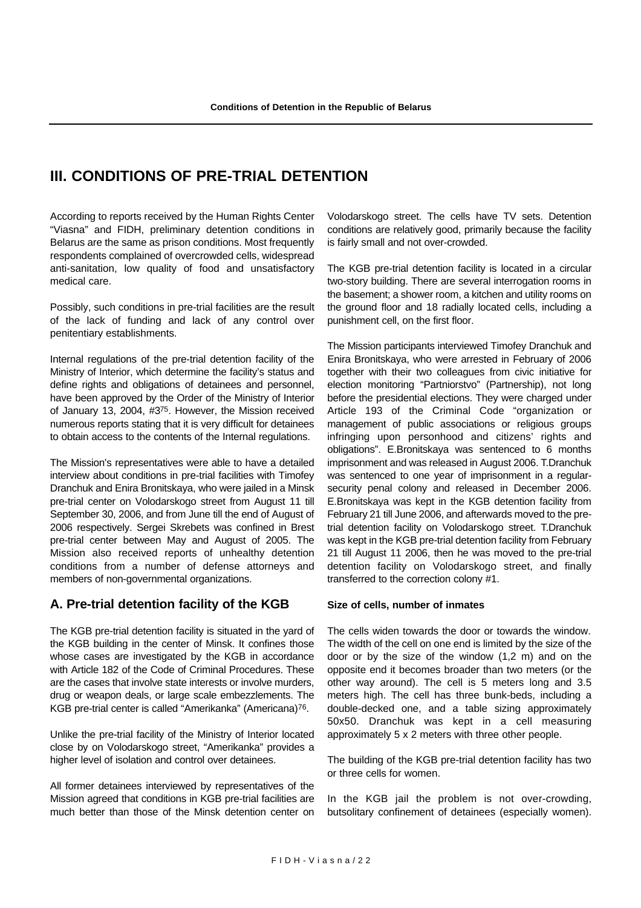# **III. CONDITIONS OF PRE-TRIAL DETENTION**

According to reports received by the Human Rights Center "Viasna" and FIDH, preliminary detention conditions in Belarus are the same as prison conditions. Most frequently respondents complained of overcrowded cells, widespread anti-sanitation, low quality of food and unsatisfactory medical care.

Possibly, such conditions in pre-trial facilities are the result of the lack of funding and lack of any control over penitentiary establishments.

Internal regulations of the pre-trial detention facility of the Ministry of Interior, which determine the facility's status and define rights and obligations of detainees and personnel, have been approved by the Order of the Ministry of Interior of January 13, 2004, #375. However, the Mission received numerous reports stating that it is very difficult for detainees to obtain access to the contents of the Internal regulations.

The Mission's representatives were able to have a detailed interview about conditions in pre-trial facilities with Timofey Dranchuk and Enira Bronitskaya, who were jailed in a Minsk pre-trial center on Volodarskogo street from August 11 till September 30, 2006, and from June till the end of August of 2006 respectively. Sergei Skrebets was confined in Brest pre-trial center between May and August of 2005. The Mission also received reports of unhealthy detention conditions from a number of defense attorneys and members of non-governmental organizations.

# **A. Pre-trial detention facility of the KGB**

The KGB pre-trial detention facility is situated in the yard of the KGB building in the center of Minsk. It confines those whose cases are investigated by the KGB in accordance with Article 182 of the Code of Criminal Procedures. These are the cases that involve state interests or involve murders, drug or weapon deals, or large scale embezzlements. The KGB pre-trial center is called "Amerikanka" (Americana)76.

Unlike the pre-trial facility of the Ministry of Interior located close by on Volodarskogo street, "Amerikanka" provides a higher level of isolation and control over detainees.

All former detainees interviewed by representatives of the Mission agreed that conditions in KGB pre-trial facilities are much better than those of the Minsk detention center on Volodarskogo street. The cells have TV sets. Detention conditions are relatively good, primarily because the facility is fairly small and not over-crowded.

The KGB pre-trial detention facility is located in a circular two-story building. There are several interrogation rooms in the basement; a shower room, a kitchen and utility rooms on the ground floor and 18 radially located cells, including a punishment cell, on the first floor.

The Mission participants interviewed Timofey Dranchuk and Enira Bronitskaya, who were arrested in February of 2006 together with their two colleagues from civic initiative for election monitoring "Partniorstvo" (Partnership), not long before the presidential elections. They were charged under Article 193 of the Criminal Code "organization or management of public associations or religious groups infringing upon personhood and citizens' rights and obligations". E.Bronitskaya was sentenced to 6 months imprisonment and was released in August 2006. T.Dranchuk was sentenced to one year of imprisonment in a regularsecurity penal colony and released in December 2006. E.Bronitskaya was kept in the KGB detention facility from February 21 till June 2006, and afterwards moved to the pretrial detention facility on Volodarskogo street. T.Dranchuk was kept in the KGB pre-trial detention facility from February 21 till August 11 2006, then he was moved to the pre-trial detention facility on Volodarskogo street, and finally transferred to the correction colony #1.

#### **Size of cells, number of inmates**

The cells widen towards the door or towards the window. The width of the cell on one end is limited by the size of the door or by the size of the window (1,2 m) and on the opposite end it becomes broader than two meters (or the other way around). The cell is 5 meters long and 3.5 meters high. The cell has three bunk-beds, including a double-decked one, and a table sizing approximately 50x50. Dranchuk was kept in a cell measuring approximately 5 x 2 meters with three other people.

The building of the KGB pre-trial detention facility has two or three cells for women.

In the KGB jail the problem is not over-crowding, butsolitary confinement of detainees (especially women).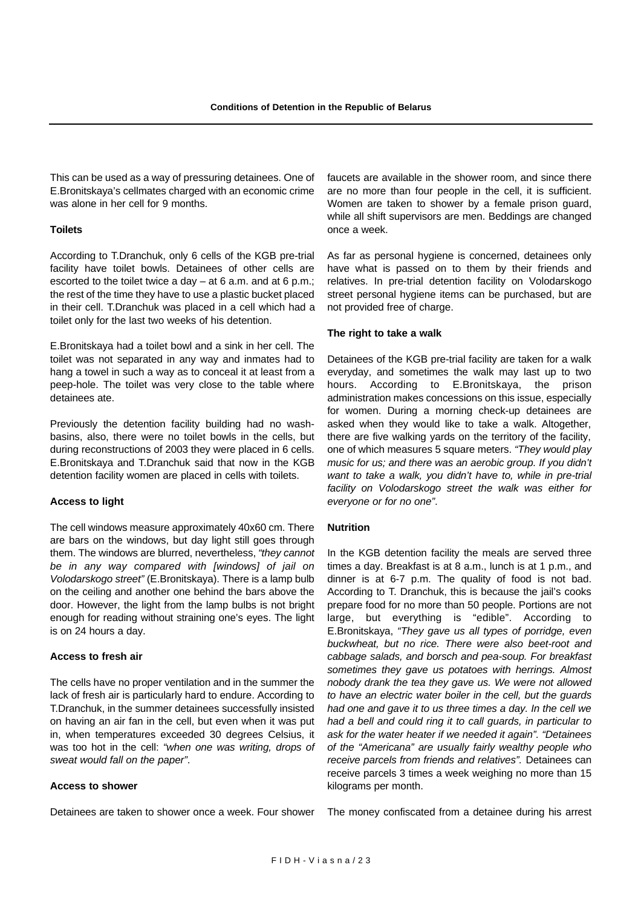This can be used as a way of pressuring detainees. One of E.Bronitskaya's cellmates charged with an economic crime was alone in her cell for 9 months.

#### **Toilets**

According to T.Dranchuk, only 6 cells of the KGB pre-trial facility have toilet bowls. Detainees of other cells are escorted to the toilet twice a day – at 6 a.m. and at 6 p.m.; the rest of the time they have to use a plastic bucket placed in their cell. T.Dranchuk was placed in a cell which had a toilet only for the last two weeks of his detention.

E.Bronitskaya had a toilet bowl and a sink in her cell. The toilet was not separated in any way and inmates had to hang a towel in such a way as to conceal it at least from a peep-hole. The toilet was very close to the table where detainees ate.

Previously the detention facility building had no washbasins, also, there were no toilet bowls in the cells, but during reconstructions of 2003 they were placed in 6 cells. E.Bronitskaya and T.Dranchuk said that now in the KGB detention facility women are placed in cells with toilets.

#### **Access to light**

The cell windows measure approximately 40x60 cm. There are bars on the windows, but day light still goes through them. The windows are blurred, nevertheless, *"they cannot be in any way compared with [windows] of jail on Volodarskogo street"* (E.Bronitskaya). There is a lamp bulb on the ceiling and another one behind the bars above the door. However, the light from the lamp bulbs is not bright enough for reading without straining one's eyes. The light is on 24 hours a day.

#### **Access to fresh air**

The cells have no proper ventilation and in the summer the lack of fresh air is particularly hard to endure. According to T.Dranchuk, in the summer detainees successfully insisted on having an air fan in the cell, but even when it was put in, when temperatures exceeded 30 degrees Celsius, it was too hot in the cell: *"when one was writing, drops of sweat would fall on the paper"*.

#### **Access to shower**

Detainees are taken to shower once a week. Four shower

faucets are available in the shower room, and since there are no more than four people in the cell, it is sufficient. Women are taken to shower by a female prison guard, while all shift supervisors are men. Beddings are changed once a week.

As far as personal hygiene is concerned, detainees only have what is passed on to them by their friends and relatives. In pre-trial detention facility on Volodarskogo street personal hygiene items can be purchased, but are not provided free of charge.

#### **The right to take a walk**

Detainees of the KGB pre-trial facility are taken for a walk everyday, and sometimes the walk may last up to two hours. According to E.Bronitskaya, the prison administration makes concessions on this issue, especially for women. During a morning check-up detainees are asked when they would like to take a walk. Altogether, there are five walking yards on the territory of the facility, one of which measures 5 square meters. *"They would play music for us; and there was an aerobic group. If you didn't want to take a walk, you didn't have to, while in pre-trial facility on Volodarskogo street the walk was either for everyone or for no one"*.

#### **Nutrition**

In the KGB detention facility the meals are served three times a day. Breakfast is at 8 a.m., lunch is at 1 p.m., and dinner is at 6-7 p.m. The quality of food is not bad. According to T. Dranchuk, this is because the jail's cooks prepare food for no more than 50 people. Portions are not large, but everything is "edible". According to E.Bronitskaya, *"They gave us all types of porridge, even buckwheat, but no rice. There were also beet-root and cabbage salads, and borsch and pea-soup. For breakfast sometimes they gave us potatoes with herrings. Almost nobody drank the tea they gave us. We were not allowed to have an electric water boiler in the cell, but the guards had one and gave it to us three times a day. In the cell we had a bell and could ring it to call guards, in particular to ask for the water heater if we needed it again". "Detainees of the "Americana" are usually fairly wealthy people who receive parcels from friends and relatives".* Detainees can receive parcels 3 times a week weighing no more than 15 kilograms per month.

The money confiscated from a detainee during his arrest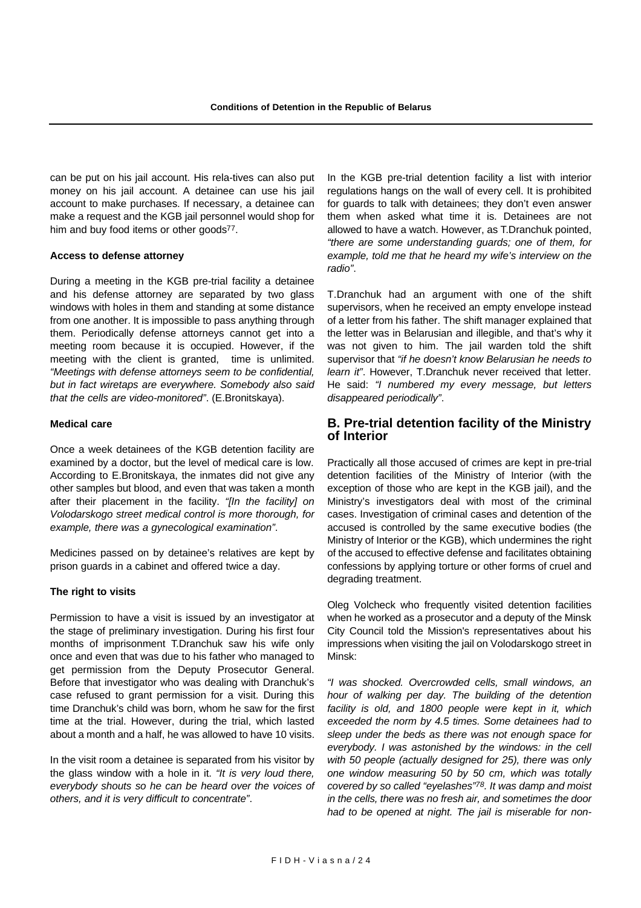can be put on his jail account. His rela-tives can also put money on his jail account. A detainee can use his jail account to make purchases. If necessary, a detainee can make a request and the KGB jail personnel would shop for him and buy food items or other goods<sup>77</sup>.

#### **Access to defense attorney**

During a meeting in the KGB pre-trial facility a detainee and his defense attorney are separated by two glass windows with holes in them and standing at some distance from one another. It is impossible to pass anything through them. Periodically defense attorneys cannot get into a meeting room because it is occupied. However, if the meeting with the client is granted, time is unlimited. *"Meetings with defense attorneys seem to be confidential, but in fact wiretaps are everywhere. Somebody also said that the cells are video-monitored"*. (E.Bronitskaya).

#### **Medical care**

Once a week detainees of the KGB detention facility are examined by a doctor, but the level of medical care is low. According to E.Bronitskaya, the inmates did not give any other samples but blood, and even that was taken a month after their placement in the facility. *"[In the facility] on Volodarskogo street medical control is more thorough, for example, there was a gynecological examination"*.

Medicines passed on by detainee's relatives are kept by prison guards in a cabinet and offered twice a day.

#### **The right to visits**

Permission to have a visit is issued by an investigator at the stage of preliminary investigation. During his first four months of imprisonment T.Dranchuk saw his wife only once and even that was due to his father who managed to get permission from the Deputy Prosecutor General. Before that investigator who was dealing with Dranchuk's case refused to grant permission for a visit. During this time Dranchuk's child was born, whom he saw for the first time at the trial. However, during the trial, which lasted about a month and a half, he was allowed to have 10 visits.

In the visit room a detainee is separated from his visitor by the glass window with a hole in it. *"It is very loud there, everybody shouts so he can be heard over the voices of others, and it is very difficult to concentrate"*.

In the KGB pre-trial detention facility a list with interior regulations hangs on the wall of every cell. It is prohibited for guards to talk with detainees; they don't even answer them when asked what time it is. Detainees are not allowed to have a watch. However, as T.Dranchuk pointed, *"there are some understanding guards; one of them, for example, told me that he heard my wife's interview on the radio"*.

T.Dranchuk had an argument with one of the shift supervisors, when he received an empty envelope instead of a letter from his father. The shift manager explained that the letter was in Belarusian and illegible, and that's why it was not given to him. The jail warden told the shift supervisor that *"if he doesn't know Belarusian he needs to learn it"*. However, T.Dranchuk never received that letter. He said: *"I numbered my every message, but letters disappeared periodically"*.

### **B. Pre-trial detention facility of the Ministry of Interior**

Practically all those accused of crimes are kept in pre-trial detention facilities of the Ministry of Interior (with the exception of those who are kept in the KGB jail), and the Ministry's investigators deal with most of the criminal cases. Investigation of criminal cases and detention of the accused is controlled by the same executive bodies (the Ministry of Interior or the KGB), which undermines the right of the accused to effective defense and facilitates obtaining confessions by applying torture or other forms of cruel and degrading treatment.

Oleg Volcheck who frequently visited detention facilities when he worked as a prosecutor and a deputy of the Minsk City Council told the Mission's representatives about his impressions when visiting the jail on Volodarskogo street in Minsk:

*"I was shocked. Overcrowded cells, small windows, an hour of walking per day. The building of the detention facility is old, and 1800 people were kept in it, which exceeded the norm by 4.5 times. Some detainees had to sleep under the beds as there was not enough space for everybody. I was astonished by the windows: in the cell with 50 people (actually designed for 25), there was only one window measuring 50 by 50 cm, which was totally covered by so called "eyelashes"78. It was damp and moist in the cells, there was no fresh air, and sometimes the door had to be opened at night. The jail is miserable for non-*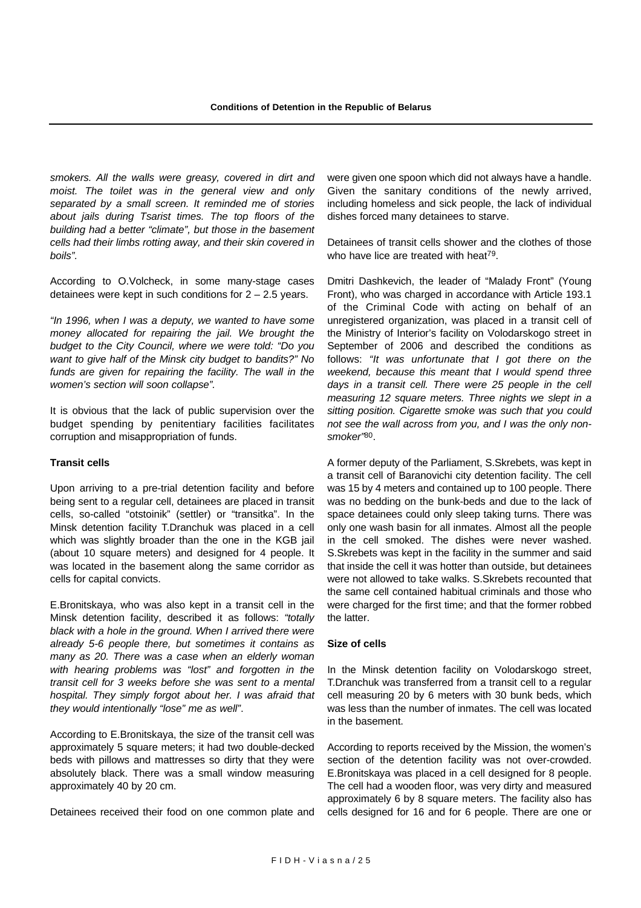*smokers. All the walls were greasy, covered in dirt and moist. The toilet was in the general view and only separated by a small screen. It reminded me of stories about jails during Tsarist times. The top floors of the building had a better "climate", but those in the basement cells had their limbs rotting away, and their skin covered in boils".*

According to O.Volcheck, in some many-stage cases detainees were kept in such conditions for 2 – 2.5 years.

*"In 1996, when I was a deputy, we wanted to have some money allocated for repairing the jail. We brought the budget to the City Council, where we were told: "Do you want to give half of the Minsk city budget to bandits?" No funds are given for repairing the facility. The wall in the women's section will soon collapse".*

It is obvious that the lack of public supervision over the budget spending by penitentiary facilities facilitates corruption and misappropriation of funds.

#### **Transit cells**

Upon arriving to a pre-trial detention facility and before being sent to a regular cell, detainees are placed in transit cells, so-called "otstoinik" (settler) or "transitka". In the Minsk detention facility T.Dranchuk was placed in a cell which was slightly broader than the one in the KGB jail (about 10 square meters) and designed for 4 people. It was located in the basement along the same corridor as cells for capital convicts.

E.Bronitskaya, who was also kept in a transit cell in the Minsk detention facility, described it as follows: *"totally black with a hole in the ground. When I arrived there were already 5-6 people there, but sometimes it contains as many as 20. There was a case when an elderly woman with hearing problems was "lost" and forgotten in the transit cell for 3 weeks before she was sent to a mental hospital. They simply forgot about her. I was afraid that they would intentionally "lose" me as well"*.

According to E.Bronitskaya, the size of the transit cell was approximately 5 square meters; it had two double-decked beds with pillows and mattresses so dirty that they were absolutely black. There was a small window measuring approximately 40 by 20 cm.

Detainees received their food on one common plate and

were given one spoon which did not always have a handle. Given the sanitary conditions of the newly arrived, including homeless and sick people, the lack of individual dishes forced many detainees to starve.

Detainees of transit cells shower and the clothes of those who have lice are treated with heat<sup>79</sup>.

Dmitri Dashkevich, the leader of "Malady Front" (Young Front), who was charged in accordance with Article 193.1 of the Criminal Code with acting on behalf of an unregistered organization, was placed in a transit cell of the Ministry of Interior's facility on Volodarskogo street in September of 2006 and described the conditions as follows: *"It was unfortunate that I got there on the weekend, because this meant that I would spend three days in a transit cell. There were 25 people in the cell measuring 12 square meters. Three nights we slept in a sitting position. Cigarette smoke was such that you could not see the wall across from you, and I was the only nonsmoker"*80.

A former deputy of the Parliament, S.Skrebets, was kept in a transit cell of Baranovichi city detention facility. The cell was 15 by 4 meters and contained up to 100 people. There was no bedding on the bunk-beds and due to the lack of space detainees could only sleep taking turns. There was only one wash basin for all inmates. Almost all the people in the cell smoked. The dishes were never washed. S.Skrebets was kept in the facility in the summer and said that inside the cell it was hotter than outside, but detainees were not allowed to take walks. S.Skrebets recounted that the same cell contained habitual criminals and those who were charged for the first time; and that the former robbed the latter.

#### **Size of cells**

In the Minsk detention facility on Volodarskogo street, T.Dranchuk was transferred from a transit cell to a regular cell measuring 20 by 6 meters with 30 bunk beds, which was less than the number of inmates. The cell was located in the basement.

According to reports received by the Mission, the women's section of the detention facility was not over-crowded. E.Bronitskaya was placed in a cell designed for 8 people. The cell had a wooden floor, was very dirty and measured approximately 6 by 8 square meters. The facility also has cells designed for 16 and for 6 people. There are one or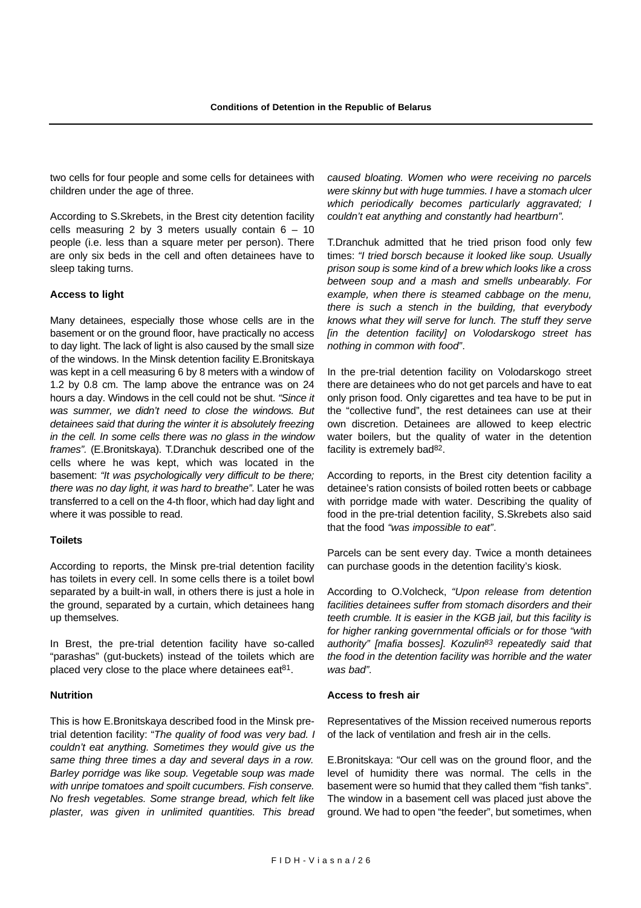two cells for four people and some cells for detainees with children under the age of three.

According to S.Skrebets, in the Brest city detention facility cells measuring 2 by 3 meters usually contain  $6 - 10$ people (i.e. less than a square meter per person). There are only six beds in the cell and often detainees have to sleep taking turns.

#### **Access to light**

Many detainees, especially those whose cells are in the basement or on the ground floor, have practically no access to day light. The lack of light is also caused by the small size of the windows. In the Minsk detention facility E.Bronitskaya was kept in a cell measuring 6 by 8 meters with a window of 1.2 by 0.8 cm. The lamp above the entrance was on 24 hours a day. Windows in the cell could not be shut. *"Since it was summer, we didn't need to close the windows. But detainees said that during the winter it is absolutely freezing in the cell. In some cells there was no glass in the window frames".* (E.Bronitskaya). T.Dranchuk described one of the cells where he was kept, which was located in the basement: *"It was psychologically very difficult to be there; there was no day light, it was hard to breathe"*. Later he was transferred to a cell on the 4-th floor, which had day light and where it was possible to read.

#### **Toilets**

According to reports, the Minsk pre-trial detention facility has toilets in every cell. In some cells there is a toilet bowl separated by a built-in wall, in others there is just a hole in the ground, separated by a curtain, which detainees hang up themselves.

In Brest, the pre-trial detention facility have so-called "parashas" (gut-buckets) instead of the toilets which are placed very close to the place where detainees eat<sup>81</sup>.

#### **Nutrition**

This is how E.Bronitskaya described food in the Minsk pretrial detention facility: "*The quality of food was very bad. I couldn't eat anything. Sometimes they would give us the same thing three times a day and several days in a row. Barley porridge was like soup. Vegetable soup was made with unripe tomatoes and spoilt cucumbers. Fish conserve. No fresh vegetables. Some strange bread, which felt like plaster, was given in unlimited quantities. This bread* *caused bloating. Women who were receiving no parcels were skinny but with huge tummies. I have a stomach ulcer which periodically becomes particularly aggravated; I couldn't eat anything and constantly had heartburn".*

T.Dranchuk admitted that he tried prison food only few times: *"I tried borsch because it looked like soup. Usually prison soup is some kind of a brew which looks like a cross between soup and a mash and smells unbearably. For example, when there is steamed cabbage on the menu, there is such a stench in the building, that everybody knows what they will serve for lunch. The stuff they serve [in the detention facility] on Volodarskogo street has nothing in common with food"*.

In the pre-trial detention facility on Volodarskogo street there are detainees who do not get parcels and have to eat only prison food. Only cigarettes and tea have to be put in the "collective fund", the rest detainees can use at their own discretion. Detainees are allowed to keep electric water boilers, but the quality of water in the detention facility is extremely bad82.

According to reports, in the Brest city detention facility a detainee's ration consists of boiled rotten beets or cabbage with porridge made with water. Describing the quality of food in the pre-trial detention facility, S.Skrebets also said that the food *"was impossible to eat"*.

Parcels can be sent every day. Twice a month detainees can purchase goods in the detention facility's kiosk.

According to O.Volcheck, *"Upon release from detention facilities detainees suffer from stomach disorders and their teeth crumble. It is easier in the KGB jail, but this facility is for higher ranking governmental officials or for those "with authority" [mafia bosses]. Kozulin83 repeatedly said that the food in the detention facility was horrible and the water was bad".*

#### **Access to fresh air**

Representatives of the Mission received numerous reports of the lack of ventilation and fresh air in the cells.

E.Bronitskaya: "Our cell was on the ground floor, and the level of humidity there was normal. The cells in the basement were so humid that they called them "fish tanks". The window in a basement cell was placed just above the ground. We had to open "the feeder", but sometimes, when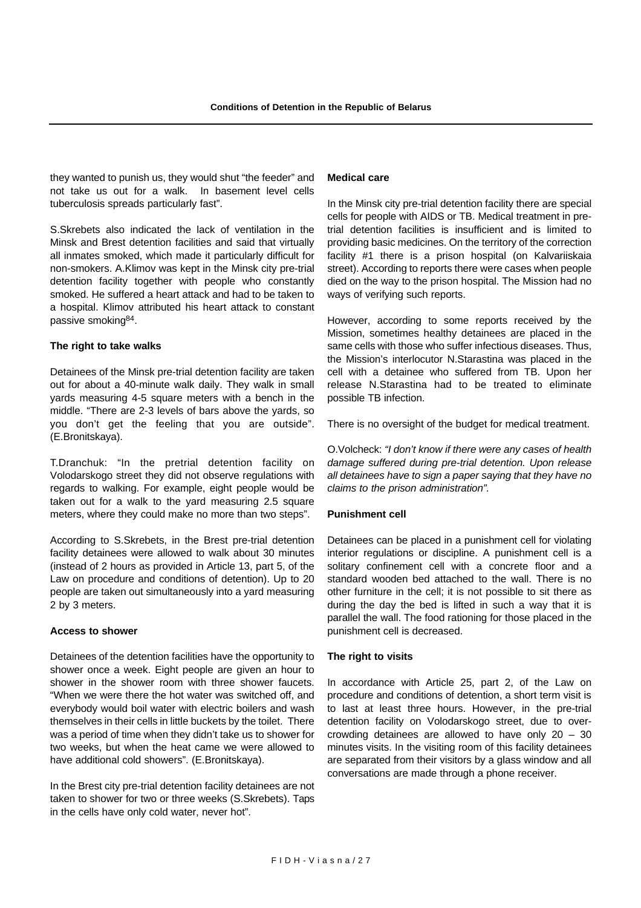they wanted to punish us, they would shut "the feeder" and not take us out for a walk. In basement level cells tuberculosis spreads particularly fast".

S.Skrebets also indicated the lack of ventilation in the Minsk and Brest detention facilities and said that virtually all inmates smoked, which made it particularly difficult for non-smokers. A.Klimov was kept in the Minsk city pre-trial detention facility together with people who constantly smoked. He suffered a heart attack and had to be taken to a hospital. Klimov attributed his heart attack to constant passive smoking84.

#### **The right to take walks**

Detainees of the Minsk pre-trial detention facility are taken out for about a 40-minute walk daily. They walk in small yards measuring 4-5 square meters with a bench in the middle. "There are 2-3 levels of bars above the yards, so you don't get the feeling that you are outside". (E.Bronitskaya).

T.Dranchuk: "In the pretrial detention facility on Volodarskogo street they did not observe regulations with regards to walking. For example, eight people would be taken out for a walk to the yard measuring 2.5 square meters, where they could make no more than two steps".

According to S.Skrebets, in the Brest pre-trial detention facility detainees were allowed to walk about 30 minutes (instead of 2 hours as provided in Article 13, part 5, of the Law on procedure and conditions of detention). Up to 20 people are taken out simultaneously into a yard measuring 2 by 3 meters.

#### **Access to shower**

Detainees of the detention facilities have the opportunity to shower once a week. Eight people are given an hour to shower in the shower room with three shower faucets. "When we were there the hot water was switched off, and everybody would boil water with electric boilers and wash themselves in their cells in little buckets by the toilet. There was a period of time when they didn't take us to shower for two weeks, but when the heat came we were allowed to have additional cold showers". (E.Bronitskaya).

In the Brest city pre-trial detention facility detainees are not taken to shower for two or three weeks (S.Skrebets). Taps in the cells have only cold water, never hot".

#### **Medical care**

In the Minsk city pre-trial detention facility there are special cells for people with AIDS or TB. Medical treatment in pretrial detention facilities is insufficient and is limited to providing basic medicines. On the territory of the correction facility #1 there is a prison hospital (on Kalvariiskaia street). According to reports there were cases when people died on the way to the prison hospital. The Mission had no ways of verifying such reports.

However, according to some reports received by the Mission, sometimes healthy detainees are placed in the same cells with those who suffer infectious diseases. Thus, the Mission's interlocutor N.Starastina was placed in the cell with a detainee who suffered from TB. Upon her release N.Starastina had to be treated to eliminate possible TB infection.

There is no oversight of the budget for medical treatment.

O.Volcheck: *"I don't know if there were any cases of health damage suffered during pre-trial detention. Upon release all detainees have to sign a paper saying that they have no claims to the prison administration".*

#### **Punishment cell**

Detainees can be placed in a punishment cell for violating interior regulations or discipline. A punishment cell is a solitary confinement cell with a concrete floor and a standard wooden bed attached to the wall. There is no other furniture in the cell; it is not possible to sit there as during the day the bed is lifted in such a way that it is parallel the wall. The food rationing for those placed in the punishment cell is decreased.

#### **The right to visits**

In accordance with Article 25, part 2, of the Law on procedure and conditions of detention, a short term visit is to last at least three hours. However, in the pre-trial detention facility on Volodarskogo street, due to overcrowding detainees are allowed to have only 20 – 30 minutes visits. In the visiting room of this facility detainees are separated from their visitors by a glass window and all conversations are made through a phone receiver.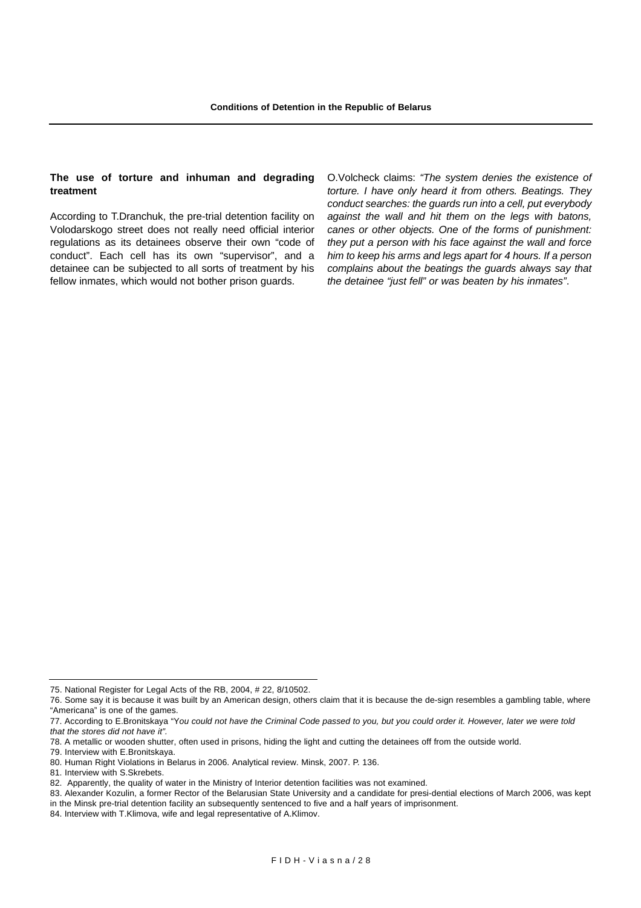#### **The use of torture and inhuman and degrading treatment**

According to T.Dranchuk, the pre-trial detention facility on Volodarskogo street does not really need official interior regulations as its detainees observe their own "code of conduct". Each cell has its own "supervisor", and a detainee can be subjected to all sorts of treatment by his fellow inmates, which would not bother prison guards.

O.Volcheck claims: *"The system denies the existence of torture. I have only heard it from others. Beatings. They conduct searches: the guards run into a cell, put everybody against the wall and hit them on the legs with batons, canes or other objects. One of the forms of punishment: they put a person with his face against the wall and force him to keep his arms and legs apart for 4 hours. If a person complains about the beatings the guards always say that the detainee "just fell" or was beaten by his inmates"*.

79. Interview with E.Bronitskaya.

<sup>75.</sup> National Register for Legal Acts of the RB, 2004, # 22, 8/10502.

<sup>76.</sup> Some say it is because it was built by an American design, others claim that it is because the de-sign resembles a gambling table, where "Americana" is one of the games.

<sup>77.</sup> According to E.Bronitskaya "Y*ou could not have the Criminal Code passed to you, but you could order it. However, later we were told that the stores did not have it".*

<sup>78.</sup> A metallic or wooden shutter, often used in prisons, hiding the light and cutting the detainees off from the outside world.

<sup>80.</sup> Human Right Violations in Belarus in 2006. Analytical review. Minsk, 2007. P. 136.

<sup>81.</sup> Interview with S.Skrebets.

<sup>82.</sup> Apparently, the quality of water in the Ministry of Interior detention facilities was not examined.

<sup>83.</sup> Alexander Kozulin, a former Rector of the Belarusian State University and a candidate for presi-dential elections of March 2006, was kept in the Minsk pre-trial detention facility an subsequently sentenced to five and a half years of imprisonment.

<sup>84.</sup> Interview with T.Klimova, wife and legal representative of A.Klimov.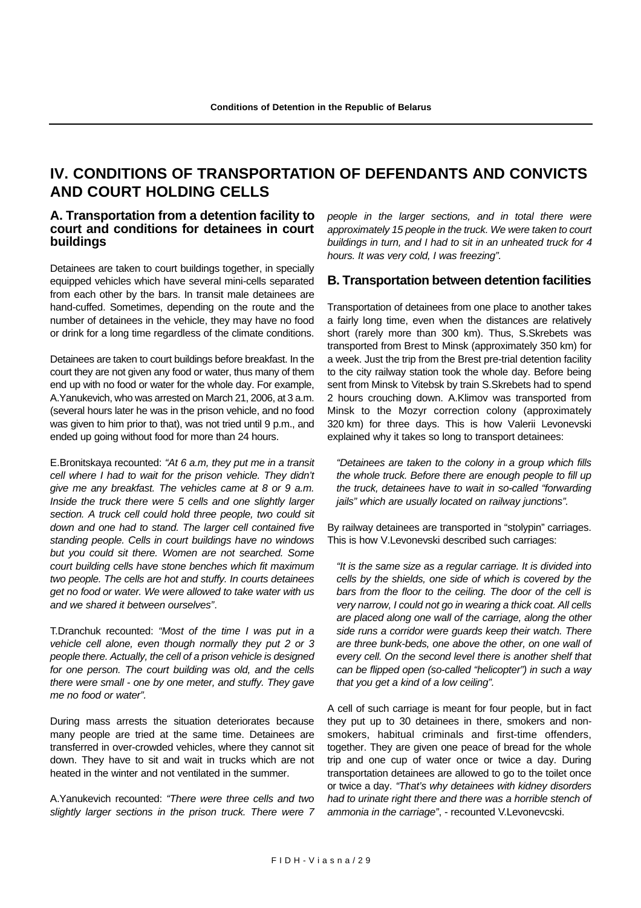# **IV. CONDITIONS OF TRANSPORTATION OF DEFENDANTS AND CONVICTS AND COURT HOLDING CELLS**

### **A. Transportation from a detention facility to court and conditions for detainees in court buildings**

Detainees are taken to court buildings together, in specially equipped vehicles which have several mini-cells separated from each other by the bars. In transit male detainees are hand-cuffed. Sometimes, depending on the route and the number of detainees in the vehicle, they may have no food or drink for a long time regardless of the climate conditions.

Detainees are taken to court buildings before breakfast. In the court they are not given any food or water, thus many of them end up with no food or water for the whole day. For example, A.Yanukevich, who was arrested on March 21, 2006, at 3 a.m. (several hours later he was in the prison vehicle, and no food was given to him prior to that), was not tried until 9 p.m., and ended up going without food for more than 24 hours.

E.Bronitskaya recounted: *"At 6 a.m, they put me in a transit cell where I had to wait for the prison vehicle. They didn't give me any breakfast. The vehicles came at 8 or 9 a.m. Inside the truck there were 5 cells and one slightly larger section. A truck cell could hold three people, two could sit down and one had to stand. The larger cell contained five standing people. Cells in court buildings have no windows but you could sit there. Women are not searched. Some court building cells have stone benches which fit maximum two people. The cells are hot and stuffy. In courts detainees get no food or water. We were allowed to take water with us and we shared it between ourselves"*.

T.Dranchuk recounted: *"Most of the time I was put in a vehicle cell alone, even though normally they put 2 or 3 people there. Actually, the cell of a prison vehicle is designed for one person. The court building was old, and the cells there were small - one by one meter, and stuffy. They gave me no food or water".*

During mass arrests the situation deteriorates because many people are tried at the same time. Detainees are transferred in over-crowded vehicles, where they cannot sit down. They have to sit and wait in trucks which are not heated in the winter and not ventilated in the summer.

A.Yanukevich recounted: *"There were three cells and two slightly larger sections in the prison truck. There were 7* *people in the larger sections, and in total there were approximately 15 people in the truck. We were taken to court buildings in turn, and I had to sit in an unheated truck for 4 hours. It was very cold, I was freezing".*

### **B. Transportation between detention facilities**

Transportation of detainees from one place to another takes a fairly long time, even when the distances are relatively short (rarely more than 300 km). Thus, S.Skrebets was transported from Brest to Minsk (approximately 350 km) for a week. Just the trip from the Brest pre-trial detention facility to the city railway station took the whole day. Before being sent from Minsk to Vitebsk by train S.Skrebets had to spend 2 hours crouching down. A.Klimov was transported from Minsk to the Mozyr correction colony (approximately 320 km) for three days. This is how Valerii Levonevski explained why it takes so long to transport detainees:

*"Detainees are taken to the colony in a group which fills the whole truck. Before there are enough people to fill up the truck, detainees have to wait in so-called "forwarding jails" which are usually located on railway junctions".* 

By railway detainees are transported in "stolypin" carriages. This is how V.Levonevski described such carriages:

*"It is the same size as a regular carriage. It is divided into cells by the shields, one side of which is covered by the bars from the floor to the ceiling. The door of the cell is very narrow, I could not go in wearing a thick coat. All cells are placed along one wall of the carriage, along the other side runs a corridor were guards keep their watch. There are three bunk-beds, one above the other, on one wall of every cell. On the second level there is another shelf that can be flipped open (so-called "helicopter") in such a way that you get a kind of a low ceiling".* 

A cell of such carriage is meant for four people, but in fact they put up to 30 detainees in there, smokers and nonsmokers, habitual criminals and first-time offenders, together. They are given one peace of bread for the whole trip and one cup of water once or twice a day. During transportation detainees are allowed to go to the toilet once or twice a day. *"That's why detainees with kidney disorders had to urinate right there and there was a horrible stench of ammonia in the carriage"*, - recounted V.Levonevcski.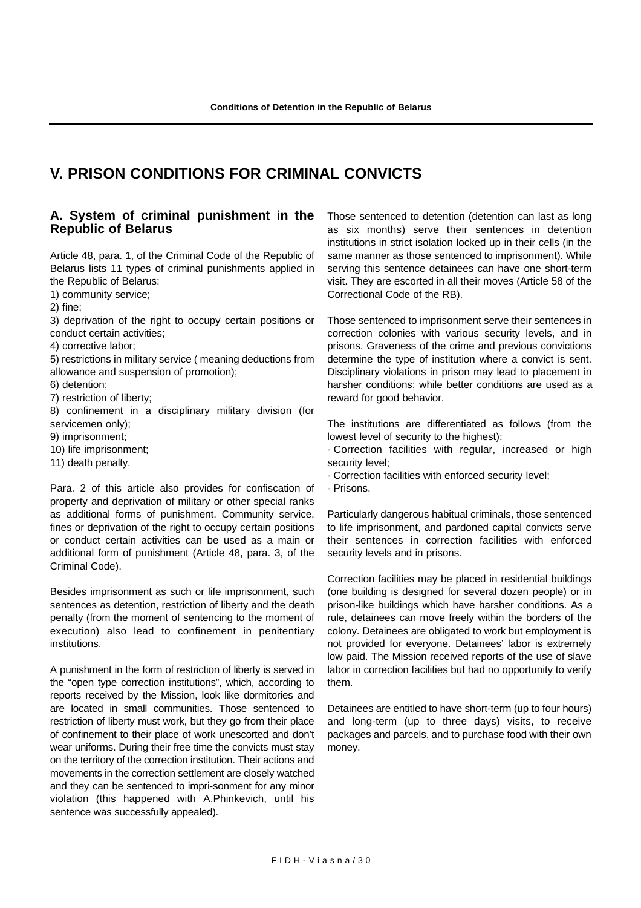# **V. PRISON CONDITIONS FOR CRIMINAL CONVICTS**

### **A. System of criminal punishment in the Republic of Belarus**

Article 48, para. 1, of the Criminal Code of the Republic of Belarus lists 11 types of criminal punishments applied in the Republic of Belarus:

1) community service;

2) fine;

3) deprivation of the right to occupy certain positions or conduct certain activities;

4) corrective labor;

5) restrictions in military service ( meaning deductions from allowance and suspension of promotion);

6) detention;

7) restriction of liberty;

8) confinement in a disciplinary military division (for servicemen only);

9) imprisonment;

10) life imprisonment;

11) death penalty.

Para. 2 of this article also provides for confiscation of property and deprivation of military or other special ranks as additional forms of punishment. Community service, fines or deprivation of the right to occupy certain positions or conduct certain activities can be used as a main or additional form of punishment (Article 48, para. 3, of the Criminal Code).

Besides imprisonment as such or life imprisonment, such sentences as detention, restriction of liberty and the death penalty (from the moment of sentencing to the moment of execution) also lead to confinement in penitentiary institutions.

A punishment in the form of restriction of liberty is served in the "open type correction institutions", which, according to reports received by the Mission, look like dormitories and are located in small communities. Those sentenced to restriction of liberty must work, but they go from their place of confinement to their place of work unescorted and don't wear uniforms. During their free time the convicts must stay on the territory of the correction institution. Their actions and movements in the correction settlement are closely watched and they can be sentenced to impri-sonment for any minor violation (this happened with A.Phinkevich, until his sentence was successfully appealed).

Those sentenced to detention (detention can last as long as six months) serve their sentences in detention institutions in strict isolation locked up in their cells (in the same manner as those sentenced to imprisonment). While serving this sentence detainees can have one short-term visit. They are escorted in all their moves (Article 58 of the Correctional Code of the RB).

Those sentenced to imprisonment serve their sentences in correction colonies with various security levels, and in prisons. Graveness of the crime and previous convictions determine the type of institution where a convict is sent. Disciplinary violations in prison may lead to placement in harsher conditions; while better conditions are used as a reward for good behavior.

The institutions are differentiated as follows (from the lowest level of security to the highest):

- Correction facilities with regular, increased or high security level;

- Correction facilities with enforced security level;

- Prisons.

Particularly dangerous habitual criminals, those sentenced to life imprisonment, and pardoned capital convicts serve their sentences in correction facilities with enforced security levels and in prisons.

Correction facilities may be placed in residential buildings (one building is designed for several dozen people) or in prison-like buildings which have harsher conditions. As a rule, detainees can move freely within the borders of the colony. Detainees are obligated to work but employment is not provided for everyone. Detainees' labor is extremely low paid. The Mission received reports of the use of slave labor in correction facilities but had no opportunity to verify them.

Detainees are entitled to have short-term (up to four hours) and long-term (up to three days) visits, to receive packages and parcels, and to purchase food with their own money.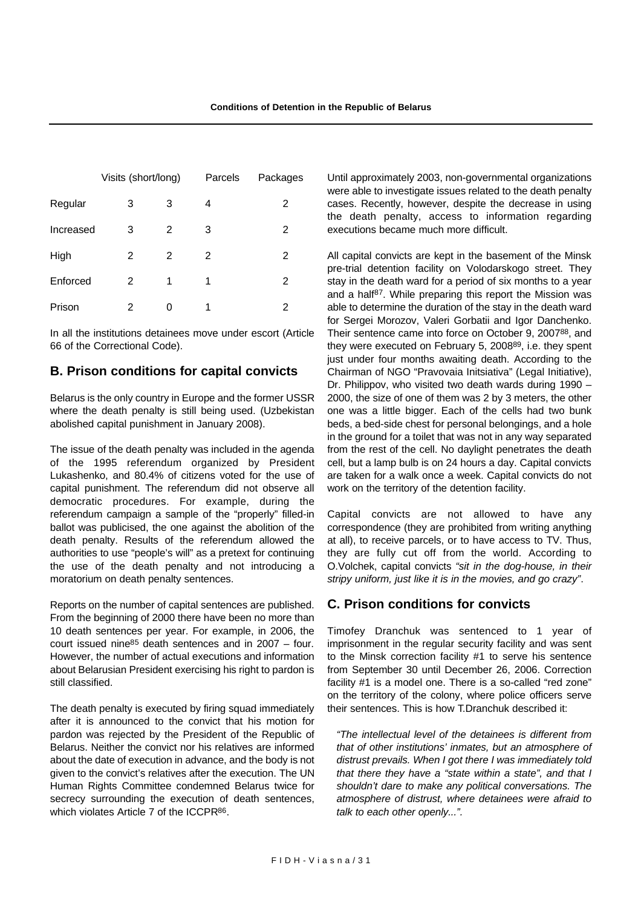|           | Visits (short/long) |   | Parcels | Packages |  |
|-----------|---------------------|---|---------|----------|--|
| Regular   | 3                   | 3 | 4       | 2        |  |
| Increased | 3                   | 2 | 3       | 2        |  |
| High      | 2                   | 2 | 2       | 2        |  |
| Enforced  | 2                   | 1 | 1       | 2        |  |
| Prison    | 2                   | U | 1       | 2        |  |

In all the institutions detainees move under escort (Article 66 of the Correctional Code).

### **B. Prison conditions for capital convicts**

Belarus is the only country in Europe and the former USSR where the death penalty is still being used. (Uzbekistan abolished capital punishment in January 2008).

The issue of the death penalty was included in the agenda of the 1995 referendum organized by President Lukashenko, and 80.4% of citizens voted for the use of capital punishment. The referendum did not observe all democratic procedures. For example, during the referendum campaign a sample of the "properly" filled-in ballot was publicised, the one against the abolition of the death penalty. Results of the referendum allowed the authorities to use "people's will" as a pretext for continuing the use of the death penalty and not introducing a moratorium on death penalty sentences.

Reports on the number of capital sentences are published. From the beginning of 2000 there have been no more than 10 death sentences per year. For example, in 2006, the court issued nine85 death sentences and in 2007 – four. However, the number of actual executions and information about Belarusian President exercising his right to pardon is still classified.

The death penalty is executed by firing squad immediately after it is announced to the convict that his motion for pardon was rejected by the President of the Republic of Belarus. Neither the convict nor his relatives are informed about the date of execution in advance, and the body is not given to the convict's relatives after the execution. The UN Human Rights Committee condemned Belarus twice for secrecy surrounding the execution of death sentences, which violates Article 7 of the ICCPR<sup>86</sup>.

Until approximately 2003, non-governmental organizations were able to investigate issues related to the death penalty cases. Recently, however, despite the decrease in using the death penalty, access to information regarding executions became much more difficult.

All capital convicts are kept in the basement of the Minsk pre-trial detention facility on Volodarskogo street. They stay in the death ward for a period of six months to a year and a half87. While preparing this report the Mission was able to determine the duration of the stay in the death ward for Sergei Morozov, Valeri Gorbatii and Igor Danchenko. Their sentence came into force on October 9, 200788, and they were executed on February 5, 200889, i.e. they spent just under four months awaiting death. According to the Chairman of NGO "Pravovaia Initsiativa" (Legal Initiative), Dr. Philippov, who visited two death wards during 1990 – 2000, the size of one of them was 2 by 3 meters, the other one was a little bigger. Each of the cells had two bunk beds, a bed-side chest for personal belongings, and a hole in the ground for a toilet that was not in any way separated from the rest of the cell. No daylight penetrates the death cell, but a lamp bulb is on 24 hours a day. Capital convicts are taken for a walk once a week. Capital convicts do not work on the territory of the detention facility.

Capital convicts are not allowed to have any correspondence (they are prohibited from writing anything at all), to receive parcels, or to have access to TV. Thus, they are fully cut off from the world. According to O.Volchek, capital convicts *"sit in the dog-house, in their stripy uniform, just like it is in the movies, and go crazy"*.

# **C. Prison conditions for convicts**

Timofey Dranchuk was sentenced to 1 year of imprisonment in the regular security facility and was sent to the Minsk correction facility #1 to serve his sentence from September 30 until December 26, 2006. Correction facility #1 is a model one. There is a so-called "red zone" on the territory of the colony, where police officers serve their sentences. This is how T.Dranchuk described it:

*"The intellectual level of the detainees is different from that of other institutions' inmates, but an atmosphere of distrust prevails. When I got there I was immediately told that there they have a "state within a state", and that I shouldn't dare to make any political conversations. The atmosphere of distrust, where detainees were afraid to talk to each other openly...".*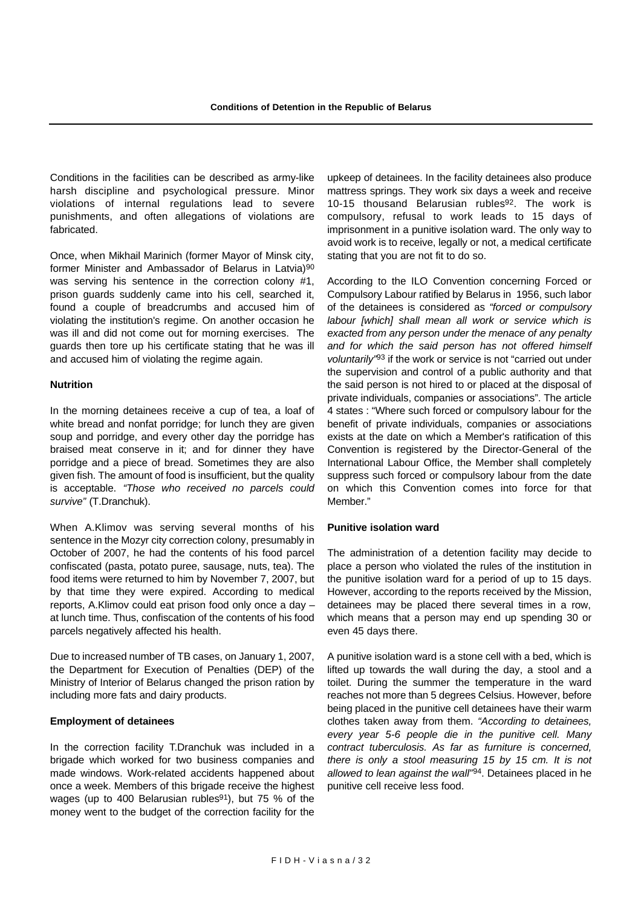Conditions in the facilities can be described as army-like harsh discipline and psychological pressure. Minor violations of internal regulations lead to severe punishments, and often allegations of violations are fabricated.

Once, when Mikhail Marinich (former Mayor of Minsk city, former Minister and Ambassador of Belarus in Latvia)<sup>90</sup> was serving his sentence in the correction colony #1, prison guards suddenly came into his cell, searched it, found a couple of breadcrumbs and accused him of violating the institution's regime. On another occasion he was ill and did not come out for morning exercises. The guards then tore up his certificate stating that he was ill and accused him of violating the regime again.

#### **Nutrition**

In the morning detainees receive a cup of tea, a loaf of white bread and nonfat porridge; for lunch they are given soup and porridge, and every other day the porridge has braised meat conserve in it; and for dinner they have porridge and a piece of bread. Sometimes they are also given fish. The amount of food is insufficient, but the quality is acceptable. *"Those who received no parcels could survive"* (T.Dranchuk).

When A.Klimov was serving several months of his sentence in the Mozyr city correction colony, presumably in October of 2007, he had the contents of his food parcel confiscated (pasta, potato puree, sausage, nuts, tea). The food items were returned to him by November 7, 2007, but by that time they were expired. According to medical reports, A.Klimov could eat prison food only once a day – at lunch time. Thus, confiscation of the contents of his food parcels negatively affected his health.

Due to increased number of TB cases, on January 1, 2007, the Department for Execution of Penalties (DEP) of the Ministry of Interior of Belarus changed the prison ration by including more fats and dairy products.

#### **Employment of detainees**

In the correction facility T.Dranchuk was included in a brigade which worked for two business companies and made windows. Work-related accidents happened about once a week. Members of this brigade receive the highest wages (up to 400 Belarusian rubles<sup>91</sup>), but 75 % of the money went to the budget of the correction facility for the upkeep of detainees. In the facility detainees also produce mattress springs. They work six days a week and receive 10-15 thousand Belarusian rubles<sup>92</sup>. The work is compulsory, refusal to work leads to 15 days of imprisonment in a punitive isolation ward. The only way to avoid work is to receive, legally or not, a medical certificate stating that you are not fit to do so.

According to the ILO Convention concerning Forced or Compulsory Labour ratified by Belarus in 1956, such labor of the detainees is considered as *"forced or compulsory labour [which] shall mean all work or service which is exacted from any person under the menace of any penalty and for which the said person has not offered himself voluntarily"*93 if the work or service is not "carried out under the supervision and control of a public authority and that the said person is not hired to or placed at the disposal of private individuals, companies or associations". The article 4 states : "Where such forced or compulsory labour for the benefit of private individuals, companies or associations exists at the date on which a Member's ratification of this Convention is registered by the Director-General of the International Labour Office, the Member shall completely suppress such forced or compulsory labour from the date on which this Convention comes into force for that Member."

#### **Punitive isolation ward**

The administration of a detention facility may decide to place a person who violated the rules of the institution in the punitive isolation ward for a period of up to 15 days. However, according to the reports received by the Mission, detainees may be placed there several times in a row, which means that a person may end up spending 30 or even 45 days there.

A punitive isolation ward is a stone cell with a bed, which is lifted up towards the wall during the day, a stool and a toilet. During the summer the temperature in the ward reaches not more than 5 degrees Celsius. However, before being placed in the punitive cell detainees have their warm clothes taken away from them. *"According to detainees, every year 5-6 people die in the punitive cell. Many contract tuberculosis. As far as furniture is concerned, there is only a stool measuring 15 by 15 cm. It is not allowed to lean against the wall"*94. Detainees placed in he punitive cell receive less food.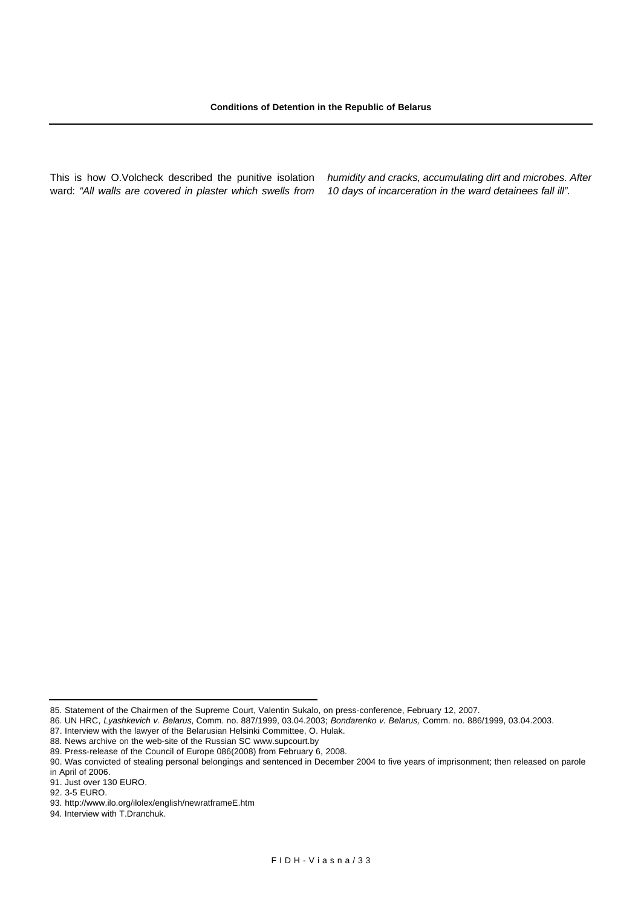This is how O.Volcheck described the punitive isolation ward: *"All walls are covered in plaster which swells from* *humidity and cracks, accumulating dirt and microbes. After 10 days of incarceration in the ward detainees fall ill".*

<sup>85.</sup> Statement of the Chairmen of the Supreme Court, Valentin Sukalo, on press-conference, February 12, 2007.

<sup>86.</sup> UN HRC, *Lyashkevich v. Belarus*, Comm. no. 887/1999, 03.04.2003; *Bondarenko v. Belarus,* Comm. no. 886/1999, 03.04.2003.

<sup>87.</sup> Interview with the lawyer of the Belarusian Helsinki Committee, O. Hulak.

<sup>88.</sup> News archive on the web-site of the Russian SC www.supcourt.by

<sup>89.</sup> Press-release of the Council of Europe 086(2008) from February 6, 2008.

<sup>90.</sup> Was convicted of stealing personal belongings and sentenced in December 2004 to five years of imprisonment; then released on parole in April of 2006.

<sup>91.</sup> Just over 130 EURO.

<sup>92. 3-5</sup> EURO.

<sup>93.</sup> http://www.ilo.org/ilolex/english/newratframeE.htm

<sup>94.</sup> Interview with T.Dranchuk.

FIDH-Viasna/ 3 3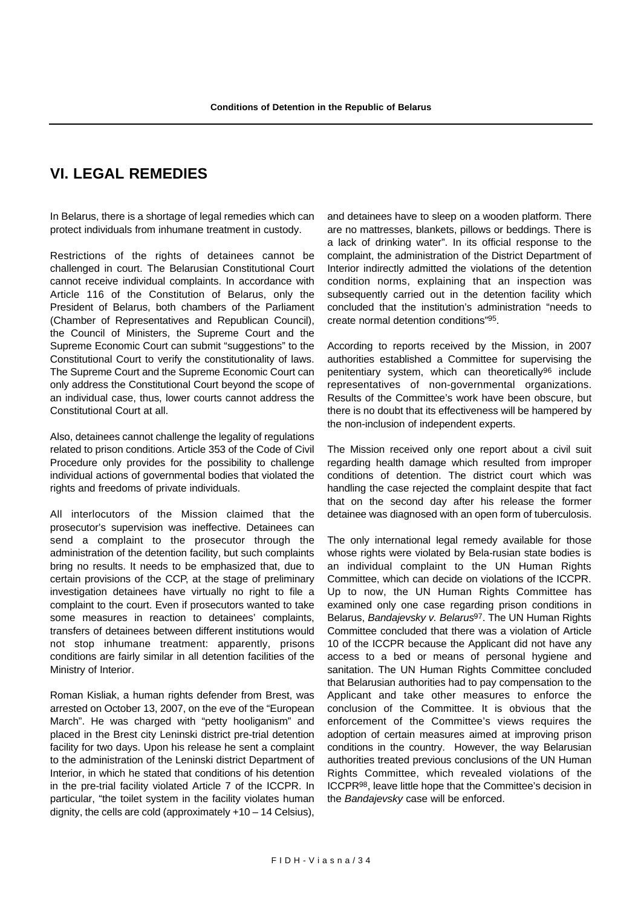# **VI. LEGAL REMEDIES**

In Belarus, there is a shortage of legal remedies which can protect individuals from inhumane treatment in custody.

Restrictions of the rights of detainees cannot be challenged in court. The Belarusian Constitutional Court cannot receive individual complaints. In accordance with Article 116 of the Constitution of Belarus, only the President of Belarus, both chambers of the Parliament (Chamber of Representatives and Republican Council), the Council of Ministers, the Supreme Court and the Supreme Economic Court can submit "suggestions" to the Constitutional Court to verify the constitutionality of laws. The Supreme Court and the Supreme Economic Court can only address the Constitutional Court beyond the scope of an individual case, thus, lower courts cannot address the Constitutional Court at all.

Also, detainees cannot challenge the legality of regulations related to prison conditions. Article 353 of the Code of Civil Procedure only provides for the possibility to challenge individual actions of governmental bodies that violated the rights and freedoms of private individuals.

All interlocutors of the Mission claimed that the prosecutor's supervision was ineffective. Detainees can send a complaint to the prosecutor through the administration of the detention facility, but such complaints bring no results. It needs to be emphasized that, due to certain provisions of the CCP, at the stage of preliminary investigation detainees have virtually no right to file a complaint to the court. Even if prosecutors wanted to take some measures in reaction to detainees' complaints, transfers of detainees between different institutions would not stop inhumane treatment: apparently, prisons conditions are fairly similar in all detention facilities of the Ministry of Interior.

Roman Kisliak, a human rights defender from Brest, was arrested on October 13, 2007, on the eve of the "European March". He was charged with "petty hooliganism" and placed in the Brest city Leninski district pre-trial detention facility for two days. Upon his release he sent a complaint to the administration of the Leninski district Department of Interior, in which he stated that conditions of his detention in the pre-trial facility violated Article 7 of the ICCPR. In particular, "the toilet system in the facility violates human dignity, the cells are cold (approximately +10 – 14 Celsius), and detainees have to sleep on a wooden platform. There are no mattresses, blankets, pillows or beddings. There is a lack of drinking water". In its official response to the complaint, the administration of the District Department of Interior indirectly admitted the violations of the detention condition norms, explaining that an inspection was subsequently carried out in the detention facility which concluded that the institution's administration "needs to create normal detention conditions"95.

According to reports received by the Mission, in 2007 authorities established a Committee for supervising the penitentiary system, which can theoretically<sup>96</sup> include representatives of non-governmental organizations. Results of the Committee's work have been obscure, but there is no doubt that its effectiveness will be hampered by the non-inclusion of independent experts.

The Mission received only one report about a civil suit regarding health damage which resulted from improper conditions of detention. The district court which was handling the case rejected the complaint despite that fact that on the second day after his release the former detainee was diagnosed with an open form of tuberculosis.

The only international legal remedy available for those whose rights were violated by Bela-rusian state bodies is an individual complaint to the UN Human Rights Committee, which can decide on violations of the ICCPR. Up to now, the UN Human Rights Committee has examined only one case regarding prison conditions in Belarus, *Bandajevsky v. Belarus*97. The UN Human Rights Committee concluded that there was a violation of Article 10 of the ICCPR because the Applicant did not have any access to a bed or means of personal hygiene and sanitation. The UN Human Rights Committee concluded that Belarusian authorities had to pay compensation to the Applicant and take other measures to enforce the conclusion of the Committee. It is obvious that the enforcement of the Committee's views requires the adoption of certain measures aimed at improving prison conditions in the country. However, the way Belarusian authorities treated previous conclusions of the UN Human Rights Committee, which revealed violations of the ICCPR98, leave little hope that the Committee's decision in the *Bandajevsky* case will be enforced.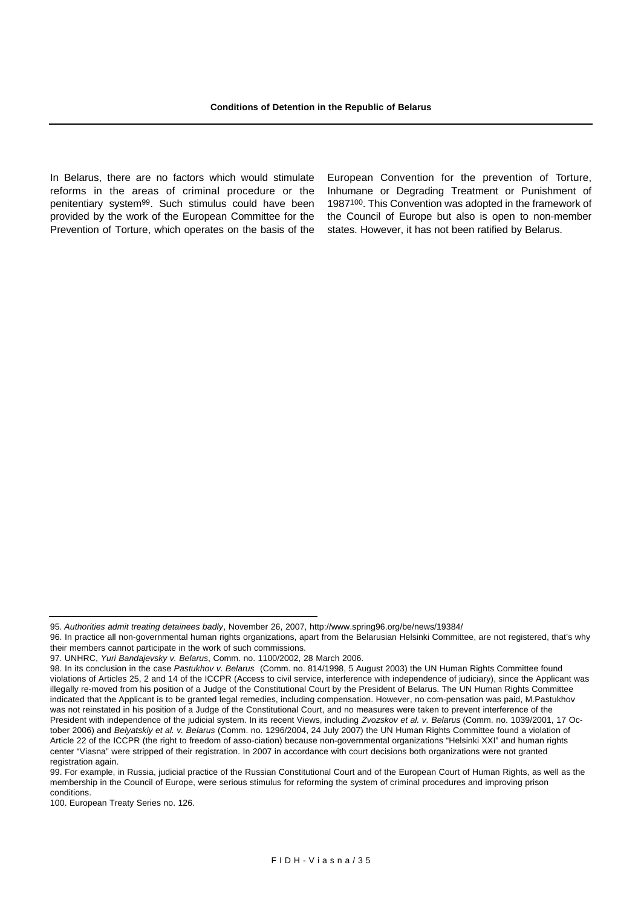In Belarus, there are no factors which would stimulate reforms in the areas of criminal procedure or the penitentiary system99. Such stimulus could have been provided by the work of the European Committee for the Prevention of Torture, which operates on the basis of the

European Convention for the prevention of Torture, Inhumane or Degrading Treatment or Punishment of 1987100. This Convention was adopted in the framework of the Council of Europe but also is open to non-member states. However, it has not been ratified by Belarus.

100. European Treaty Series no. 126.

<sup>95.</sup> *Authorities admit treating detainees badly*, November 26, 2007, http://www.spring96.org/be/news/19384/

<sup>96.</sup> In practice all non-governmental human rights organizations, apart from the Belarusian Helsinki Committee, are not registered, that's why their members cannot participate in the work of such commissions.

<sup>97.</sup> UNHRC, *Yuri Bandajevsky v. Belarus*, Comm. no. 1100/2002, 28 March 2006.

<sup>98.</sup> In its conclusion in the case *Pastukhov v. Belarus* (Comm. no. 814/1998, 5 August 2003) the UN Human Rights Committee found violations of Articles 25, 2 and 14 of the ICCPR (Access to civil service, interference with independence of judiciary), since the Applicant was illegally re-moved from his position of a Judge of the Constitutional Court by the President of Belarus. The UN Human Rights Committee indicated that the Applicant is to be granted legal remedies, including compensation. However, no com-pensation was paid, M.Pastukhov was not reinstated in his position of a Judge of the Constitutional Court, and no measures were taken to prevent interference of the President with independence of the judicial system. In its recent Views, including *Zvozskov et al. v. Belarus* (Comm. no. 1039/2001, 17 October 2006) and *Belyatskiy et al. v. Belarus* (Comm. no. 1296/2004, 24 July 2007) the UN Human Rights Committee found a violation of Article 22 of the ICCPR (the right to freedom of asso-ciation) because non-governmental organizations "Helsinki XXI" and human rights center "Viasna" were stripped of their registration. In 2007 in accordance with court decisions both organizations were not granted registration again.

<sup>99.</sup> For example, in Russia, judicial practice of the Russian Constitutional Court and of the European Court of Human Rights, as well as the membership in the Council of Europe, were serious stimulus for reforming the system of criminal procedures and improving prison conditions.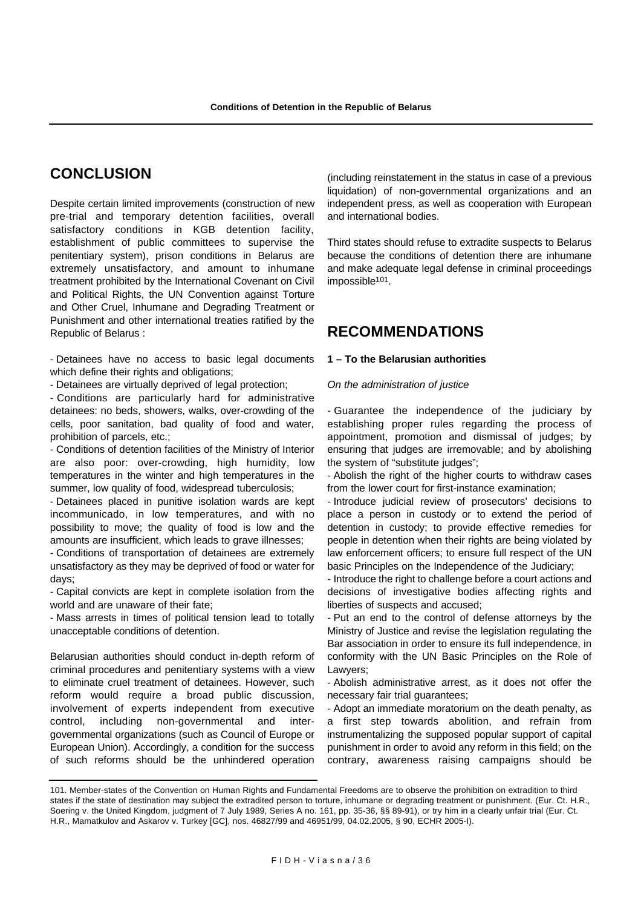# **CONCLUSION**

Despite certain limited improvements (construction of new pre-trial and temporary detention facilities, overall satisfactory conditions in KGB detention facility, establishment of public committees to supervise the penitentiary system), prison conditions in Belarus are extremely unsatisfactory, and amount to inhumane treatment prohibited by the International Covenant on Civil and Political Rights, the UN Convention against Torture and Other Cruel, Inhumane and Degrading Treatment or Punishment and other international treaties ratified by the Republic of Belarus :

- Detainees have no access to basic legal documents which define their rights and obligations;

- Detainees are virtually deprived of legal protection;

- Conditions are particularly hard for administrative detainees: no beds, showers, walks, over-crowding of the cells, poor sanitation, bad quality of food and water, prohibition of parcels, etc.;

- Conditions of detention facilities of the Ministry of Interior are also poor: over-crowding, high humidity, low temperatures in the winter and high temperatures in the summer, low quality of food, widespread tuberculosis;

- Detainees placed in punitive isolation wards are kept incommunicado, in low temperatures, and with no possibility to move; the quality of food is low and the amounts are insufficient, which leads to grave illnesses;

- Conditions of transportation of detainees are extremely unsatisfactory as they may be deprived of food or water for days;

- Capital convicts are kept in complete isolation from the world and are unaware of their fate;

- Mass arrests in times of political tension lead to totally unacceptable conditions of detention.

Belarusian authorities should conduct in-depth reform of criminal procedures and penitentiary systems with a view to eliminate cruel treatment of detainees. However, such reform would require a broad public discussion, involvement of experts independent from executive control, including non-governmental and intergovernmental organizations (such as Council of Europe or European Union). Accordingly, a condition for the success of such reforms should be the unhindered operation (including reinstatement in the status in case of a previous liquidation) of non-governmental organizations and an independent press, as well as cooperation with European and international bodies.

Third states should refuse to extradite suspects to Belarus because the conditions of detention there are inhumane and make adequate legal defense in criminal proceedings impossible<sup>101</sup>.

# **RECOMMENDATIONS**

#### **1 – To the Belarusian authorities**

*On the administration of justice*

- Guarantee the independence of the judiciary by establishing proper rules regarding the process of appointment, promotion and dismissal of judges; by ensuring that judges are irremovable; and by abolishing the system of "substitute judges";

- Abolish the right of the higher courts to withdraw cases from the lower court for first-instance examination;

- Introduce judicial review of prosecutors' decisions to place a person in custody or to extend the period of detention in custody; to provide effective remedies for people in detention when their rights are being violated by law enforcement officers; to ensure full respect of the UN basic Principles on the Independence of the Judiciary;

- Introduce the right to challenge before a court actions and decisions of investigative bodies affecting rights and liberties of suspects and accused;

- Put an end to the control of defense attorneys by the Ministry of Justice and revise the legislation regulating the Bar association in order to ensure its full independence, in conformity with the UN Basic Principles on the Role of Lawyers;

- Abolish administrative arrest, as it does not offer the necessary fair trial guarantees;

- Adopt an immediate moratorium on the death penalty, as a first step towards abolition, and refrain from instrumentalizing the supposed popular support of capital punishment in order to avoid any reform in this field; on the contrary, awareness raising campaigns should be

<sup>101.</sup> Member-states of the Convention on Human Rights and Fundamental Freedoms are to observe the prohibition on extradition to third states if the state of destination may subject the extradited person to torture, inhumane or degrading treatment or punishment. (Eur. Ct. H.R., Soering v. the United Kingdom, judgment of 7 July 1989, Series A no. 161, pp. 35-36, §§ 89-91), or try him in a clearly unfair trial (Eur. Ct. H.R., Mamatkulov and Askarov v. Turkey [GC], nos. 46827/99 and 46951/99, 04.02.2005, § 90, ECHR 2005-I).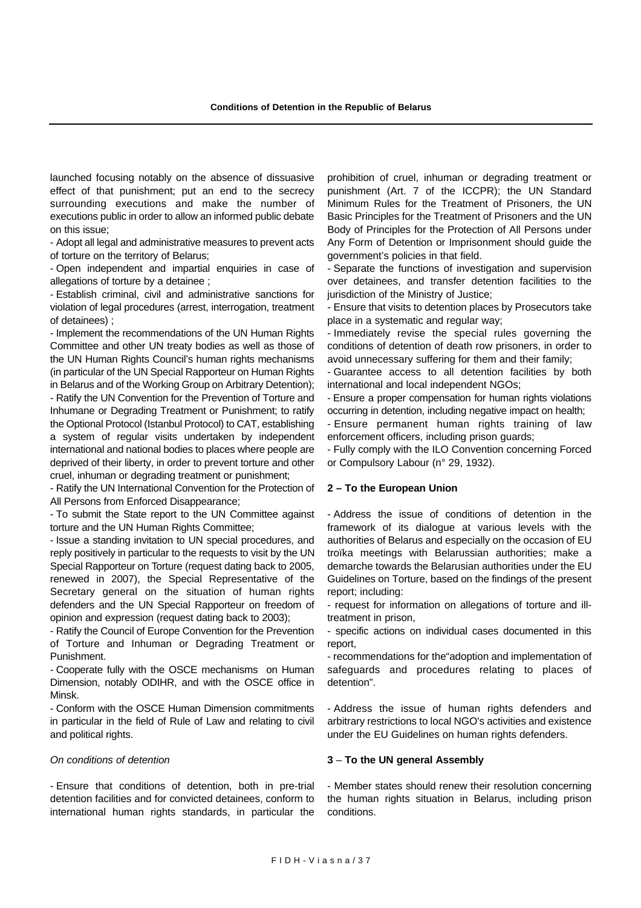launched focusing notably on the absence of dissuasive effect of that punishment; put an end to the secrecy surrounding executions and make the number of executions public in order to allow an informed public debate on this issue;

- Adopt all legal and administrative measures to prevent acts of torture on the territory of Belarus;

- Open independent and impartial enquiries in case of allegations of torture by a detainee ;

- Establish criminal, civil and administrative sanctions for violation of legal procedures (arrest, interrogation, treatment of detainees) ;

- Implement the recommendations of the UN Human Rights Committee and other UN treaty bodies as well as those of the UN Human Rights Council's human rights mechanisms (in particular of the UN Special Rapporteur on Human Rights in Belarus and of the Working Group on Arbitrary Detention); - Ratify the UN Convention for the Prevention of Torture and Inhumane or Degrading Treatment or Punishment; to ratify the Optional Protocol (Istanbul Protocol) to CAT, establishing a system of regular visits undertaken by independent international and national bodies to places where people are deprived of their liberty, in order to prevent torture and other cruel, inhuman or degrading treatment or punishment;

- Ratify the UN International Convention for the Protection of All Persons from Enforced Disappearance;

- To submit the State report to the UN Committee against torture and the UN Human Rights Committee;

- Issue a standing invitation to UN special procedures, and reply positively in particular to the requests to visit by the UN Special Rapporteur on Torture (request dating back to 2005, renewed in 2007), the Special Representative of the Secretary general on the situation of human rights defenders and the UN Special Rapporteur on freedom of opinion and expression (request dating back to 2003);

- Ratify the Council of Europe Convention for the Prevention of Torture and Inhuman or Degrading Treatment or Punishment.

- Cooperate fully with the OSCE mechanisms on Human Dimension, notably ODIHR, and with the OSCE office in Minsk.

- Conform with the OSCE Human Dimension commitments in particular in the field of Rule of Law and relating to civil and political rights.

#### *On conditions of detention*

- Ensure that conditions of detention, both in pre-trial detention facilities and for convicted detainees, conform to international human rights standards, in particular the prohibition of cruel, inhuman or degrading treatment or punishment (Art. 7 of the ICCPR); the UN Standard Minimum Rules for the Treatment of Prisoners, the UN Basic Principles for the Treatment of Prisoners and the UN Body of Principles for the Protection of All Persons under Any Form of Detention or Imprisonment should guide the government's policies in that field.

- Separate the functions of investigation and supervision over detainees, and transfer detention facilities to the jurisdiction of the Ministry of Justice;

- Ensure that visits to detention places by Prosecutors take place in a systematic and regular way;

- Immediately revise the special rules governing the conditions of detention of death row prisoners, in order to avoid unnecessary suffering for them and their family;

- Guarantee access to all detention facilities by both international and local independent NGOs;

- Ensure a proper compensation for human rights violations occurring in detention, including negative impact on health;

- Ensure permanent human rights training of law enforcement officers, including prison guards;

- Fully comply with the ILO Convention concerning Forced or Compulsory Labour (n° 29, 1932).

#### **2 – To the European Union**

- Address the issue of conditions of detention in the framework of its dialogue at various levels with the authorities of Belarus and especially on the occasion of EU troïka meetings with Belarussian authorities; make a demarche towards the Belarusian authorities under the EU Guidelines on Torture, based on the findings of the present report; including:

- request for information on allegations of torture and illtreatment in prison,

- specific actions on individual cases documented in this report,

- recommendations for the"adoption and implementation of safeguards and procedures relating to places of detention".

- Address the issue of human rights defenders and arbitrary restrictions to local NGO's activities and existence under the EU Guidelines on human rights defenders.

#### **3** – **To the UN general Assembly**

- Member states should renew their resolution concerning the human rights situation in Belarus, including prison conditions.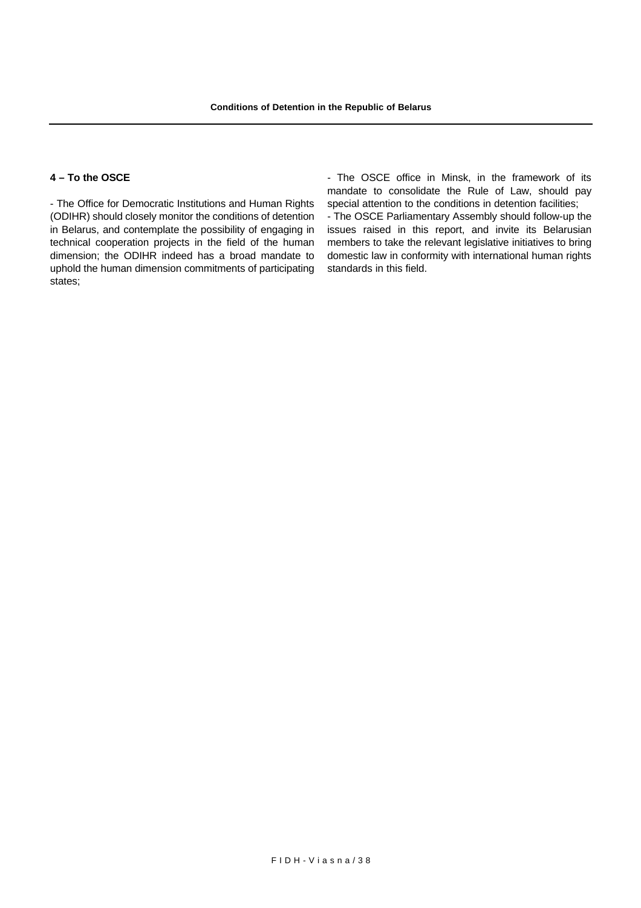### **4 – To the OSCE**

- The Office for Democratic Institutions and Human Rights (ODIHR) should closely monitor the conditions of detention in Belarus, and contemplate the possibility of engaging in technical cooperation projects in the field of the human dimension; the ODIHR indeed has a broad mandate to uphold the human dimension commitments of participating states;

- The OSCE office in Minsk, in the framework of its mandate to consolidate the Rule of Law, should pay special attention to the conditions in detention facilities;

- The OSCE Parliamentary Assembly should follow-up the issues raised in this report, and invite its Belarusian members to take the relevant legislative initiatives to bring domestic law in conformity with international human rights standards in this field.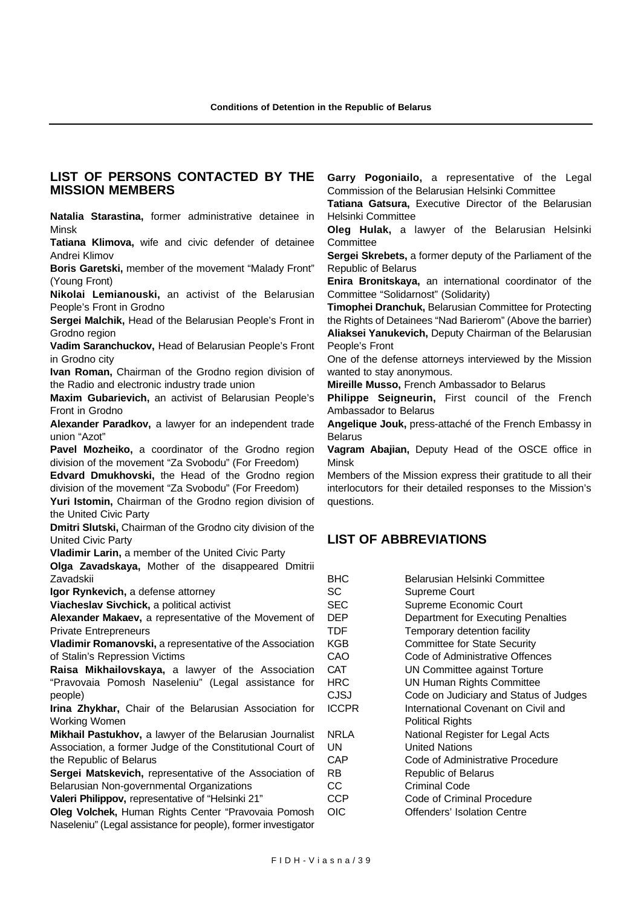### **LIST OF PERSONS CONTACTED BY THE MISSION MEMBERS**

**Natalia Starastina,** former administrative detainee in Minsk

**Tatiana Klimova,** wife and civic defender of detainee Andrei Klimov

**Boris Garetski,** member of the movement "Malady Front" (Young Front)

**Nikolai Lemianouski,** an activist of the Belarusian People's Front in Grodno

**Sergei Malchik,** Head of the Belarusian People's Front in Grodno region

**Vadim Saranchuckov,** Head of Belarusian People's Front in Grodno city

**Ivan Roman,** Chairman of the Grodno region division of the Radio and electronic industry trade union

**Maxim Gubarievich,** an activist of Belarusian People's Front in Grodno

**Alexander Paradkov,** a lawyer for an independent trade union "Azot"

**Pavel Mozheiko,** a coordinator of the Grodno region division of the movement "Za Svobodu" (For Freedom)

**Edvard Dmukhovski,** the Head of the Grodno region division of the movement "Za Svobodu" (For Freedom)

**Yuri Istomin,** Chairman of the Grodno region division of the United Civic Party

**Dmitri Slutski,** Chairman of the Grodno city division of the United Civic Party

**Vladimir Larin,** a member of the United Civic Party

**Olga Zavadskaya,** Mother of the disappeared Dmitrii Zavadskii

**Igor Rynkevich,** a defense attorney

**Viacheslav Sivchick,** a political activist

**Alexander Makaev,** a representative of the Movement of Private Entrepreneurs

**Vladimir Romanovski,** a representative of the Association of Stalin's Repression Victims

**Raisa Mikhailovskaya,** a lawyer of the Association "Pravovaia Pomosh Naseleniu" (Legal assistance for people)

**Irina Zhykhar,** Chair of the Belarusian Association for Working Women

**Mikhail Pastukhov,** a lawyer of the Belarusian Journalist Association, a former Judge of the Constitutional Court of the Republic of Belarus

**Sergei Matskevich,** representative of the Association of Belarusian Non-governmental Organizations

**Valeri Philippov,** representative of "Helsinki 21"

**Oleg Volchek,** Human Rights Center "Pravovaia Pomosh Naseleniu" (Legal assistance for people), former investigator **Garry Pogoniailo,** a representative of the Legal Commission of the Belarusian Helsinki Committee

**Tatiana Gatsura,** Executive Director of the Belarusian Helsinki Committee

**Oleg Hulak,** a lawyer of the Belarusian Helsinki **Committee** 

**Sergei Skrebets,** a former deputy of the Parliament of the Republic of Belarus

**Enira Bronitskaya,** an international coordinator of the Committee "Solidarnost" (Solidarity)

**Timophei Dranchuk,** Belarusian Committee for Protecting the Rights of Detainees "Nad Barierom" (Above the barrier) **Aliaksei Yanukevich,** Deputy Chairman of the Belarusian People's Front

One of the defense attorneys interviewed by the Mission wanted to stay anonymous.

**Mireille Musso,** French Ambassador to Belarus

**Philippe Seigneurin,** First council of the French Ambassador to Belarus

**Angelique Jouk,** press-attaché of the French Embassy in Belarus

**Vagram Abajian,** Deputy Head of the OSCE office in Minsk

Members of the Mission express their gratitude to all their interlocutors for their detailed responses to the Mission's questions.

# **LIST OF ABBREVIATIONS**

| <b>BHC</b>   | Belarusian Helsinki Committee          |
|--------------|----------------------------------------|
| SC           | Supreme Court                          |
| <b>SEC</b>   | Supreme Economic Court                 |
| DEP          | Department for Executing Penalties     |
| TDF          | Temporary detention facility           |
| KGB          | <b>Committee for State Security</b>    |
| CAO          | Code of Administrative Offences        |
| <b>CAT</b>   | UN Committee against Torture           |
| HRC          | <b>UN Human Rights Committee</b>       |
| CJSJ         | Code on Judiciary and Status of Judges |
| <b>ICCPR</b> | International Covenant on Civil and    |
|              | <b>Political Rights</b>                |
| <b>NRLA</b>  | National Register for Legal Acts       |
| UΝ           | United Nations                         |
| CAP          | Code of Administrative Procedure       |
| RB           | <b>Republic of Belarus</b>             |
| СC           | Criminal Code                          |
| <b>CCP</b>   | Code of Criminal Procedure             |
| OIC          | Offenders' Isolation Centre            |